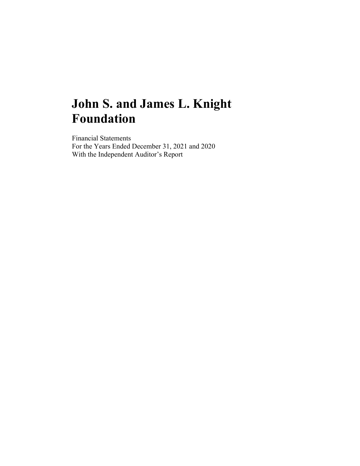Financial Statements For the Years Ended December 31, 2021 and 2020 With the Independent Auditor's Report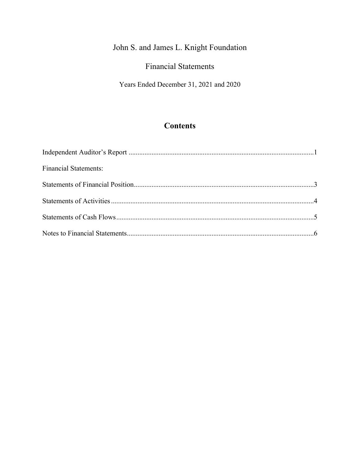## Financial Statements

Years Ended December 31, 2021 and 2020

## **Contents**

| <b>Financial Statements:</b> |  |
|------------------------------|--|
|                              |  |
|                              |  |
|                              |  |
|                              |  |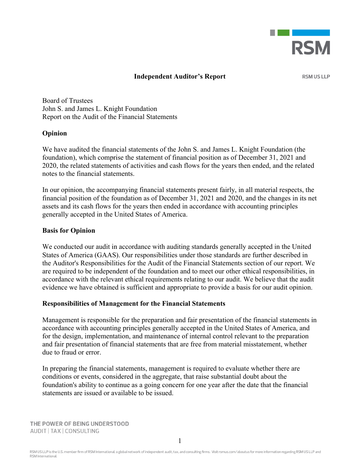

#### **Independent Auditor's Report**

**RSM US LLP** 

Board of Trustees John S. and James L. Knight Foundation Report on the Audit of the Financial Statements

#### **Opinion**

We have audited the financial statements of the John S. and James L. Knight Foundation (the foundation), which comprise the statement of financial position as of December 31, 2021 and 2020, the related statements of activities and cash flows for the years then ended, and the related notes to the financial statements.

In our opinion, the accompanying financial statements present fairly, in all material respects, the financial position of the foundation as of December 31, 2021 and 2020, and the changes in its net assets and its cash flows for the years then ended in accordance with accounting principles generally accepted in the United States of America.

#### **Basis for Opinion**

We conducted our audit in accordance with auditing standards generally accepted in the United States of America (GAAS). Our responsibilities under those standards are further described in the Auditor's Responsibilities for the Audit of the Financial Statements section of our report. We are required to be independent of the foundation and to meet our other ethical responsibilities, in accordance with the relevant ethical requirements relating to our audit. We believe that the audit evidence we have obtained is sufficient and appropriate to provide a basis for our audit opinion.

#### **Responsibilities of Management for the Financial Statements**

Management is responsible for the preparation and fair presentation of the financial statements in accordance with accounting principles generally accepted in the United States of America, and for the design, implementation, and maintenance of internal control relevant to the preparation and fair presentation of financial statements that are free from material misstatement, whether due to fraud or error.

In preparing the financial statements, management is required to evaluate whether there are conditions or events, considered in the aggregate, that raise substantial doubt about the foundation's ability to continue as a going concern for one year after the date that the financial statements are issued or available to be issued.

THE POWER OF BEING UNDERSTOOD AUDIT | TAX | CONSULTING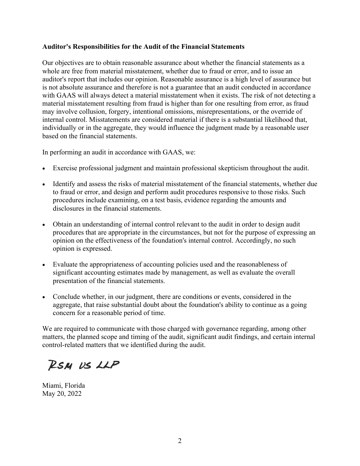#### **Auditor's Responsibilities for the Audit of the Financial Statements**

Our objectives are to obtain reasonable assurance about whether the financial statements as a whole are free from material misstatement, whether due to fraud or error, and to issue an auditor's report that includes our opinion. Reasonable assurance is a high level of assurance but is not absolute assurance and therefore is not a guarantee that an audit conducted in accordance with GAAS will always detect a material misstatement when it exists. The risk of not detecting a material misstatement resulting from fraud is higher than for one resulting from error, as fraud may involve collusion, forgery, intentional omissions, misrepresentations, or the override of internal control. Misstatements are considered material if there is a substantial likelihood that, individually or in the aggregate, they would influence the judgment made by a reasonable user based on the financial statements.

In performing an audit in accordance with GAAS, we:

- Exercise professional judgment and maintain professional skepticism throughout the audit.
- Identify and assess the risks of material misstatement of the financial statements, whether due to fraud or error, and design and perform audit procedures responsive to those risks. Such procedures include examining, on a test basis, evidence regarding the amounts and disclosures in the financial statements.
- Obtain an understanding of internal control relevant to the audit in order to design audit procedures that are appropriate in the circumstances, but not for the purpose of expressing an opinion on the effectiveness of the foundation's internal control. Accordingly, no such opinion is expressed.
- Evaluate the appropriateness of accounting policies used and the reasonableness of significant accounting estimates made by management, as well as evaluate the overall presentation of the financial statements.
- Conclude whether, in our judgment, there are conditions or events, considered in the aggregate, that raise substantial doubt about the foundation's ability to continue as a going concern for a reasonable period of time.

We are required to communicate with those charged with governance regarding, among other matters, the planned scope and timing of the audit, significant audit findings, and certain internal control-related matters that we identified during the audit.

RSM US LLP

Miami, Florida May 20, 2022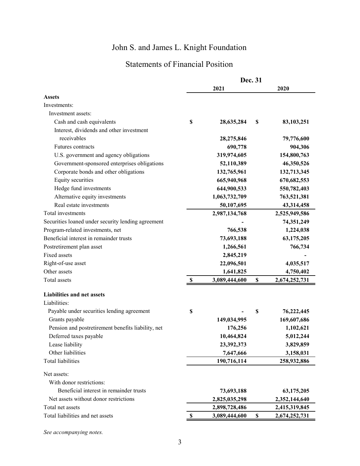## Statements of Financial Position

| 2021<br>2020<br><b>Assets</b><br>Investments:<br>Investment assets:<br>\$<br>Cash and cash equivalents<br>28,635,284<br>\$<br>83,103,251<br>Interest, dividends and other investment<br>receivables<br>28,275,846<br>79,776,600<br>Futures contracts<br>690,778<br>904,306<br>U.S. government and agency obligations<br>319,974,605<br>154,800,763<br>Government-sponsored enterprises obligations<br>52,110,389<br>46,350,526<br>Corporate bonds and other obligations<br>132,713,345<br>132,765,961<br>Equity securities<br>665,940,968<br>670,682,553<br>Hedge fund investments<br>644,900,533<br>550,782,403<br>Alternative equity investments<br>1,063,732,709<br>763,521,381<br>Real estate investments<br>50,107,695<br>43,314,458<br>Total investments<br>2,987,134,768<br>2,525,949,586<br>Securities loaned under security lending agreement<br>74,351,249<br>Program-related investments, net<br>766,538<br>1,224,038<br>Beneficial interest in remainder trusts<br>73,693,188<br>63,175,205<br>Postretirement plan asset<br>1,266,561<br>766,734<br><b>Fixed assets</b><br>2,845,219<br>Right-of-use asset<br>22,096,501<br>4,035,517<br>Other assets<br>1,641,825<br>4,750,402<br>Total assets<br>3,089,444,600<br>\$<br>$\boldsymbol{\mathsf{s}}$<br>2,674,252,731<br><b>Liabilities and net assets</b><br>Liabilities:<br>Payable under securities lending agreement<br>\$<br>\$<br>76,222,445<br>Grants payable<br>169,607,686<br>149,034,995<br>Pension and postretirement benefits liability, net<br>176,256<br>1,102,621<br>Deferred taxes payable<br>10,464,824<br>5,012,244<br>Lease liability<br>23,392,373<br>3,829,859<br>Other liabilities<br>7,647,666<br>3,158,031<br><b>Total liabilities</b><br>190,716,114<br>258,932,886<br>Net assets:<br>With donor restrictions:<br>Beneficial interest in remainder trusts<br>73,693,188<br>63,175,205<br>Net assets without donor restrictions<br>2,825,035,298<br>2,352,144,640<br>Total net assets<br>2,415,319,845<br>2,898,728,486<br>Total liabilities and net assets<br>3,089,444,600<br>\$<br>2,674,252,731<br><sup>2</sup> |  | Dec. 31 |  |  |  |
|--------------------------------------------------------------------------------------------------------------------------------------------------------------------------------------------------------------------------------------------------------------------------------------------------------------------------------------------------------------------------------------------------------------------------------------------------------------------------------------------------------------------------------------------------------------------------------------------------------------------------------------------------------------------------------------------------------------------------------------------------------------------------------------------------------------------------------------------------------------------------------------------------------------------------------------------------------------------------------------------------------------------------------------------------------------------------------------------------------------------------------------------------------------------------------------------------------------------------------------------------------------------------------------------------------------------------------------------------------------------------------------------------------------------------------------------------------------------------------------------------------------------------------------------------------------------------------------------------------------------------------------------------------------------------------------------------------------------------------------------------------------------------------------------------------------------------------------------------------------------------------------------------------------------------------------------------------------------------------------------------------------------------------------------------------------------------------------------------------|--|---------|--|--|--|
|                                                                                                                                                                                                                                                                                                                                                                                                                                                                                                                                                                                                                                                                                                                                                                                                                                                                                                                                                                                                                                                                                                                                                                                                                                                                                                                                                                                                                                                                                                                                                                                                                                                                                                                                                                                                                                                                                                                                                                                                                                                                                                        |  |         |  |  |  |
|                                                                                                                                                                                                                                                                                                                                                                                                                                                                                                                                                                                                                                                                                                                                                                                                                                                                                                                                                                                                                                                                                                                                                                                                                                                                                                                                                                                                                                                                                                                                                                                                                                                                                                                                                                                                                                                                                                                                                                                                                                                                                                        |  |         |  |  |  |
|                                                                                                                                                                                                                                                                                                                                                                                                                                                                                                                                                                                                                                                                                                                                                                                                                                                                                                                                                                                                                                                                                                                                                                                                                                                                                                                                                                                                                                                                                                                                                                                                                                                                                                                                                                                                                                                                                                                                                                                                                                                                                                        |  |         |  |  |  |
|                                                                                                                                                                                                                                                                                                                                                                                                                                                                                                                                                                                                                                                                                                                                                                                                                                                                                                                                                                                                                                                                                                                                                                                                                                                                                                                                                                                                                                                                                                                                                                                                                                                                                                                                                                                                                                                                                                                                                                                                                                                                                                        |  |         |  |  |  |
|                                                                                                                                                                                                                                                                                                                                                                                                                                                                                                                                                                                                                                                                                                                                                                                                                                                                                                                                                                                                                                                                                                                                                                                                                                                                                                                                                                                                                                                                                                                                                                                                                                                                                                                                                                                                                                                                                                                                                                                                                                                                                                        |  |         |  |  |  |
|                                                                                                                                                                                                                                                                                                                                                                                                                                                                                                                                                                                                                                                                                                                                                                                                                                                                                                                                                                                                                                                                                                                                                                                                                                                                                                                                                                                                                                                                                                                                                                                                                                                                                                                                                                                                                                                                                                                                                                                                                                                                                                        |  |         |  |  |  |
|                                                                                                                                                                                                                                                                                                                                                                                                                                                                                                                                                                                                                                                                                                                                                                                                                                                                                                                                                                                                                                                                                                                                                                                                                                                                                                                                                                                                                                                                                                                                                                                                                                                                                                                                                                                                                                                                                                                                                                                                                                                                                                        |  |         |  |  |  |
|                                                                                                                                                                                                                                                                                                                                                                                                                                                                                                                                                                                                                                                                                                                                                                                                                                                                                                                                                                                                                                                                                                                                                                                                                                                                                                                                                                                                                                                                                                                                                                                                                                                                                                                                                                                                                                                                                                                                                                                                                                                                                                        |  |         |  |  |  |
|                                                                                                                                                                                                                                                                                                                                                                                                                                                                                                                                                                                                                                                                                                                                                                                                                                                                                                                                                                                                                                                                                                                                                                                                                                                                                                                                                                                                                                                                                                                                                                                                                                                                                                                                                                                                                                                                                                                                                                                                                                                                                                        |  |         |  |  |  |
|                                                                                                                                                                                                                                                                                                                                                                                                                                                                                                                                                                                                                                                                                                                                                                                                                                                                                                                                                                                                                                                                                                                                                                                                                                                                                                                                                                                                                                                                                                                                                                                                                                                                                                                                                                                                                                                                                                                                                                                                                                                                                                        |  |         |  |  |  |
|                                                                                                                                                                                                                                                                                                                                                                                                                                                                                                                                                                                                                                                                                                                                                                                                                                                                                                                                                                                                                                                                                                                                                                                                                                                                                                                                                                                                                                                                                                                                                                                                                                                                                                                                                                                                                                                                                                                                                                                                                                                                                                        |  |         |  |  |  |
|                                                                                                                                                                                                                                                                                                                                                                                                                                                                                                                                                                                                                                                                                                                                                                                                                                                                                                                                                                                                                                                                                                                                                                                                                                                                                                                                                                                                                                                                                                                                                                                                                                                                                                                                                                                                                                                                                                                                                                                                                                                                                                        |  |         |  |  |  |
|                                                                                                                                                                                                                                                                                                                                                                                                                                                                                                                                                                                                                                                                                                                                                                                                                                                                                                                                                                                                                                                                                                                                                                                                                                                                                                                                                                                                                                                                                                                                                                                                                                                                                                                                                                                                                                                                                                                                                                                                                                                                                                        |  |         |  |  |  |
|                                                                                                                                                                                                                                                                                                                                                                                                                                                                                                                                                                                                                                                                                                                                                                                                                                                                                                                                                                                                                                                                                                                                                                                                                                                                                                                                                                                                                                                                                                                                                                                                                                                                                                                                                                                                                                                                                                                                                                                                                                                                                                        |  |         |  |  |  |
|                                                                                                                                                                                                                                                                                                                                                                                                                                                                                                                                                                                                                                                                                                                                                                                                                                                                                                                                                                                                                                                                                                                                                                                                                                                                                                                                                                                                                                                                                                                                                                                                                                                                                                                                                                                                                                                                                                                                                                                                                                                                                                        |  |         |  |  |  |
|                                                                                                                                                                                                                                                                                                                                                                                                                                                                                                                                                                                                                                                                                                                                                                                                                                                                                                                                                                                                                                                                                                                                                                                                                                                                                                                                                                                                                                                                                                                                                                                                                                                                                                                                                                                                                                                                                                                                                                                                                                                                                                        |  |         |  |  |  |
|                                                                                                                                                                                                                                                                                                                                                                                                                                                                                                                                                                                                                                                                                                                                                                                                                                                                                                                                                                                                                                                                                                                                                                                                                                                                                                                                                                                                                                                                                                                                                                                                                                                                                                                                                                                                                                                                                                                                                                                                                                                                                                        |  |         |  |  |  |
|                                                                                                                                                                                                                                                                                                                                                                                                                                                                                                                                                                                                                                                                                                                                                                                                                                                                                                                                                                                                                                                                                                                                                                                                                                                                                                                                                                                                                                                                                                                                                                                                                                                                                                                                                                                                                                                                                                                                                                                                                                                                                                        |  |         |  |  |  |
|                                                                                                                                                                                                                                                                                                                                                                                                                                                                                                                                                                                                                                                                                                                                                                                                                                                                                                                                                                                                                                                                                                                                                                                                                                                                                                                                                                                                                                                                                                                                                                                                                                                                                                                                                                                                                                                                                                                                                                                                                                                                                                        |  |         |  |  |  |
|                                                                                                                                                                                                                                                                                                                                                                                                                                                                                                                                                                                                                                                                                                                                                                                                                                                                                                                                                                                                                                                                                                                                                                                                                                                                                                                                                                                                                                                                                                                                                                                                                                                                                                                                                                                                                                                                                                                                                                                                                                                                                                        |  |         |  |  |  |
|                                                                                                                                                                                                                                                                                                                                                                                                                                                                                                                                                                                                                                                                                                                                                                                                                                                                                                                                                                                                                                                                                                                                                                                                                                                                                                                                                                                                                                                                                                                                                                                                                                                                                                                                                                                                                                                                                                                                                                                                                                                                                                        |  |         |  |  |  |
|                                                                                                                                                                                                                                                                                                                                                                                                                                                                                                                                                                                                                                                                                                                                                                                                                                                                                                                                                                                                                                                                                                                                                                                                                                                                                                                                                                                                                                                                                                                                                                                                                                                                                                                                                                                                                                                                                                                                                                                                                                                                                                        |  |         |  |  |  |
|                                                                                                                                                                                                                                                                                                                                                                                                                                                                                                                                                                                                                                                                                                                                                                                                                                                                                                                                                                                                                                                                                                                                                                                                                                                                                                                                                                                                                                                                                                                                                                                                                                                                                                                                                                                                                                                                                                                                                                                                                                                                                                        |  |         |  |  |  |
|                                                                                                                                                                                                                                                                                                                                                                                                                                                                                                                                                                                                                                                                                                                                                                                                                                                                                                                                                                                                                                                                                                                                                                                                                                                                                                                                                                                                                                                                                                                                                                                                                                                                                                                                                                                                                                                                                                                                                                                                                                                                                                        |  |         |  |  |  |
|                                                                                                                                                                                                                                                                                                                                                                                                                                                                                                                                                                                                                                                                                                                                                                                                                                                                                                                                                                                                                                                                                                                                                                                                                                                                                                                                                                                                                                                                                                                                                                                                                                                                                                                                                                                                                                                                                                                                                                                                                                                                                                        |  |         |  |  |  |
|                                                                                                                                                                                                                                                                                                                                                                                                                                                                                                                                                                                                                                                                                                                                                                                                                                                                                                                                                                                                                                                                                                                                                                                                                                                                                                                                                                                                                                                                                                                                                                                                                                                                                                                                                                                                                                                                                                                                                                                                                                                                                                        |  |         |  |  |  |
|                                                                                                                                                                                                                                                                                                                                                                                                                                                                                                                                                                                                                                                                                                                                                                                                                                                                                                                                                                                                                                                                                                                                                                                                                                                                                                                                                                                                                                                                                                                                                                                                                                                                                                                                                                                                                                                                                                                                                                                                                                                                                                        |  |         |  |  |  |
|                                                                                                                                                                                                                                                                                                                                                                                                                                                                                                                                                                                                                                                                                                                                                                                                                                                                                                                                                                                                                                                                                                                                                                                                                                                                                                                                                                                                                                                                                                                                                                                                                                                                                                                                                                                                                                                                                                                                                                                                                                                                                                        |  |         |  |  |  |
|                                                                                                                                                                                                                                                                                                                                                                                                                                                                                                                                                                                                                                                                                                                                                                                                                                                                                                                                                                                                                                                                                                                                                                                                                                                                                                                                                                                                                                                                                                                                                                                                                                                                                                                                                                                                                                                                                                                                                                                                                                                                                                        |  |         |  |  |  |
|                                                                                                                                                                                                                                                                                                                                                                                                                                                                                                                                                                                                                                                                                                                                                                                                                                                                                                                                                                                                                                                                                                                                                                                                                                                                                                                                                                                                                                                                                                                                                                                                                                                                                                                                                                                                                                                                                                                                                                                                                                                                                                        |  |         |  |  |  |
|                                                                                                                                                                                                                                                                                                                                                                                                                                                                                                                                                                                                                                                                                                                                                                                                                                                                                                                                                                                                                                                                                                                                                                                                                                                                                                                                                                                                                                                                                                                                                                                                                                                                                                                                                                                                                                                                                                                                                                                                                                                                                                        |  |         |  |  |  |
|                                                                                                                                                                                                                                                                                                                                                                                                                                                                                                                                                                                                                                                                                                                                                                                                                                                                                                                                                                                                                                                                                                                                                                                                                                                                                                                                                                                                                                                                                                                                                                                                                                                                                                                                                                                                                                                                                                                                                                                                                                                                                                        |  |         |  |  |  |
|                                                                                                                                                                                                                                                                                                                                                                                                                                                                                                                                                                                                                                                                                                                                                                                                                                                                                                                                                                                                                                                                                                                                                                                                                                                                                                                                                                                                                                                                                                                                                                                                                                                                                                                                                                                                                                                                                                                                                                                                                                                                                                        |  |         |  |  |  |
|                                                                                                                                                                                                                                                                                                                                                                                                                                                                                                                                                                                                                                                                                                                                                                                                                                                                                                                                                                                                                                                                                                                                                                                                                                                                                                                                                                                                                                                                                                                                                                                                                                                                                                                                                                                                                                                                                                                                                                                                                                                                                                        |  |         |  |  |  |
|                                                                                                                                                                                                                                                                                                                                                                                                                                                                                                                                                                                                                                                                                                                                                                                                                                                                                                                                                                                                                                                                                                                                                                                                                                                                                                                                                                                                                                                                                                                                                                                                                                                                                                                                                                                                                                                                                                                                                                                                                                                                                                        |  |         |  |  |  |
|                                                                                                                                                                                                                                                                                                                                                                                                                                                                                                                                                                                                                                                                                                                                                                                                                                                                                                                                                                                                                                                                                                                                                                                                                                                                                                                                                                                                                                                                                                                                                                                                                                                                                                                                                                                                                                                                                                                                                                                                                                                                                                        |  |         |  |  |  |
|                                                                                                                                                                                                                                                                                                                                                                                                                                                                                                                                                                                                                                                                                                                                                                                                                                                                                                                                                                                                                                                                                                                                                                                                                                                                                                                                                                                                                                                                                                                                                                                                                                                                                                                                                                                                                                                                                                                                                                                                                                                                                                        |  |         |  |  |  |
|                                                                                                                                                                                                                                                                                                                                                                                                                                                                                                                                                                                                                                                                                                                                                                                                                                                                                                                                                                                                                                                                                                                                                                                                                                                                                                                                                                                                                                                                                                                                                                                                                                                                                                                                                                                                                                                                                                                                                                                                                                                                                                        |  |         |  |  |  |
|                                                                                                                                                                                                                                                                                                                                                                                                                                                                                                                                                                                                                                                                                                                                                                                                                                                                                                                                                                                                                                                                                                                                                                                                                                                                                                                                                                                                                                                                                                                                                                                                                                                                                                                                                                                                                                                                                                                                                                                                                                                                                                        |  |         |  |  |  |

*See accompanying notes.*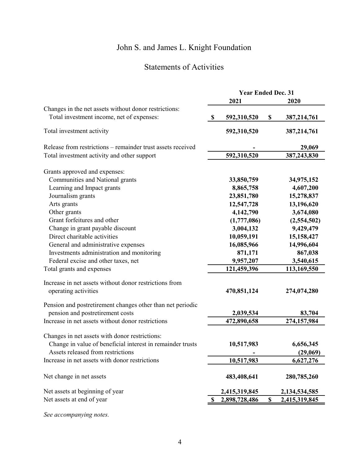## Statements of Activities

|                                                             |                           | <b>Year Ended Dec. 31</b> |                     |
|-------------------------------------------------------------|---------------------------|---------------------------|---------------------|
|                                                             |                           | 2021                      | 2020                |
| Changes in the net assets without donor restrictions:       |                           |                           |                     |
| Total investment income, net of expenses:                   | $\boldsymbol{\mathsf{S}}$ | 592,310,520               | \$<br>387,214,761   |
| Total investment activity                                   |                           | 592,310,520               | 387,214,761         |
| Release from restrictions - remainder trust assets received |                           |                           | 29,069              |
| Total investment activity and other support                 |                           | 592,310,520               | 387,243,830         |
| Grants approved and expenses:                               |                           |                           |                     |
| Communities and National grants                             |                           | 33,850,759                | 34,975,152          |
| Learning and Impact grants                                  |                           | 8,865,758                 | 4,607,200           |
| Journalism grants                                           |                           | 23,851,780                | 15,278,837          |
| Arts grants                                                 |                           | 12,547,728                | 13,196,620          |
| Other grants                                                |                           | 4,142,790                 | 3,674,080           |
| Grant forfeitures and other                                 |                           | (1,777,086)               | (2,554,502)         |
| Change in grant payable discount                            |                           | 3,004,132                 | 9,429,479           |
| Direct charitable activities                                |                           | 10,059,191                | 15,158,427          |
| General and administrative expenses                         |                           | 16,085,966                | 14,996,604          |
| Investments administration and monitoring                   |                           | 871,171                   | 867,038             |
| Federal excise and other taxes, net                         |                           | 9,957,207                 | 3,540,615           |
| Total grants and expenses                                   |                           | 121,459,396               | 113,169,550         |
| Increase in net assets without donor restrictions from      |                           |                           |                     |
| operating activities                                        |                           | 470,851,124               | 274,074,280         |
| Pension and postretirement changes other than net periodic  |                           |                           |                     |
| pension and postretirement costs                            |                           | 2,039,534                 | 83,704              |
| Increase in net assets without donor restrictions           |                           | 472,890,658               | 274,157,984         |
|                                                             |                           |                           |                     |
| Changes in net assets with donor restrictions:              |                           |                           |                     |
| Change in value of beneficial interest in remainder trusts  |                           | 10,517,983                | 6,656,345           |
| Assets released from restrictions                           |                           |                           | (29,069)            |
| Increase in net assets with donor restrictions              |                           | 10,517,983                | 6,627,276           |
| Net change in net assets                                    |                           | 483,408,641               | 280,785,260         |
| Net assets at beginning of year                             |                           | 2,415,319,845             | 2,134,534,585       |
| Net assets at end of year                                   | \$                        | 2,898,728,486             | \$<br>2,415,319,845 |
|                                                             |                           |                           |                     |

*See accompanying notes.*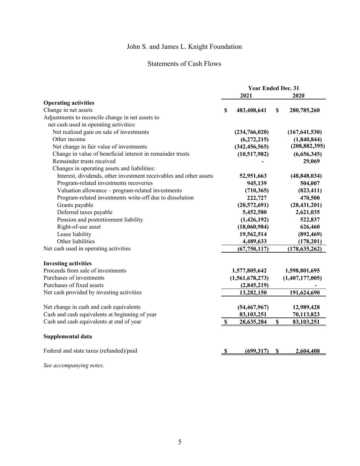## Statements of Cash Flows

|                                                                    | <b>Year Ended Dec. 31</b> |                   |
|--------------------------------------------------------------------|---------------------------|-------------------|
|                                                                    | 2021                      | 2020              |
| <b>Operating activities</b>                                        |                           |                   |
| Change in net assets                                               | \$<br>483,408,641         | \$<br>280,785,260 |
| Adjustments to reconcile change in net assets to                   |                           |                   |
| net cash used in operating activities:                             |                           |                   |
| Net realized gain on sale of investments                           | (234,766,020)             | (167, 641, 530)   |
| Other income                                                       | (6, 272, 215)             | (1,840,844)       |
| Net change in fair value of investments                            | (342, 456, 565)           | (208, 882, 395)   |
| Change in value of beneficial interest in remainder trusts         | (10,517,982)              | (6,656,345)       |
| Remainder trusts received                                          |                           | 29,069            |
| Changes in operating assets and liabilities:                       |                           |                   |
| Interest, dividends, other investment receivables and other assets | 52,951,663                | (48, 848, 034)    |
| Program-related investments recoveries                             | 945,139                   | 504,007           |
| Valuation allowance - program-related investments                  | (710, 365)                | (823, 411)        |
| Program-related investments write-off due to dissolution           | 222,727                   | 470,500           |
| Grants payable                                                     | (20, 572, 691)            | (28, 431, 201)    |
| Deferred taxes payable                                             | 5,452,580                 | 2,621,035         |
| Pension and postretirement liability                               | (1,426,192)               | 522,837           |
| Right-of-use asset                                                 | (18,060,984)              | 626,460           |
| Lease liability                                                    | 19,562,514                | (892, 469)        |
| Other liabilities                                                  | 4,489,633                 | (178,201)         |
| Net cash used in operating activities                              | (67,750,117)              | (178, 635, 262)   |
| <b>Investing activities</b>                                        |                           |                   |
| Proceeds from sale of investments                                  | 1,577,805,642             | 1,598,801,695     |
| Purchases of investments                                           | (1,561,678,273)           | (1,407,177,005)   |
| Purchases of fixed assets                                          | (2,845,219)               |                   |
| Net cash provided by investing activities                          | 13,282,150                | 191,624,690       |
|                                                                    |                           |                   |
| Net change in cash and cash equivalents                            | (54, 467, 967)            | 12,989,428        |
| Cash and cash equivalents at beginning of year                     | 83,103,251                | 70,113,823        |
| Cash and cash equivalents at end of year                           | \$<br>28,635,284          | \$<br>83,103,251  |
| Supplemental data                                                  |                           |                   |
| Federal and state taxes (refunded)/paid                            | (699, 317)                | \$<br>2,604,408   |
|                                                                    |                           |                   |

*See accompanying notes.*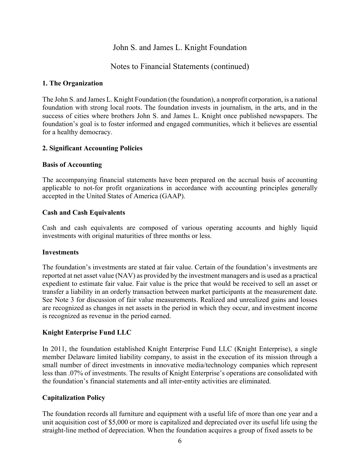### Notes to Financial Statements (continued)

#### **1. The Organization**

The John S. and James L. Knight Foundation (the foundation), a nonprofit corporation, is a national foundation with strong local roots. The foundation invests in journalism, in the arts, and in the success of cities where brothers John S. and James L. Knight once published newspapers. The foundation's goal is to foster informed and engaged communities, which it believes are essential for a healthy democracy.

#### **2. Significant Accounting Policies**

#### **Basis of Accounting**

The accompanying financial statements have been prepared on the accrual basis of accounting applicable to not-for profit organizations in accordance with accounting principles generally accepted in the United States of America (GAAP).

#### **Cash and Cash Equivalents**

Cash and cash equivalents are composed of various operating accounts and highly liquid investments with original maturities of three months or less.

#### **Investments**

The foundation's investments are stated at fair value. Certain of the foundation's investments are reported at net asset value (NAV) as provided by the investment managers and is used as a practical expedient to estimate fair value. Fair value is the price that would be received to sell an asset or transfer a liability in an orderly transaction between market participants at the measurement date. See Note 3 for discussion of fair value measurements. Realized and unrealized gains and losses are recognized as changes in net assets in the period in which they occur, and investment income is recognized as revenue in the period earned.

#### **Knight Enterprise Fund LLC**

In 2011, the foundation established Knight Enterprise Fund LLC (Knight Enterprise), a single member Delaware limited liability company, to assist in the execution of its mission through a small number of direct investments in innovative media/technology companies which represent less than .07% of investments. The results of Knight Enterprise's operations are consolidated with the foundation's financial statements and all inter-entity activities are eliminated.

#### **Capitalization Policy**

The foundation records all furniture and equipment with a useful life of more than one year and a unit acquisition cost of \$5,000 or more is capitalized and depreciated over its useful life using the straight-line method of depreciation. When the foundation acquires a group of fixed assets to be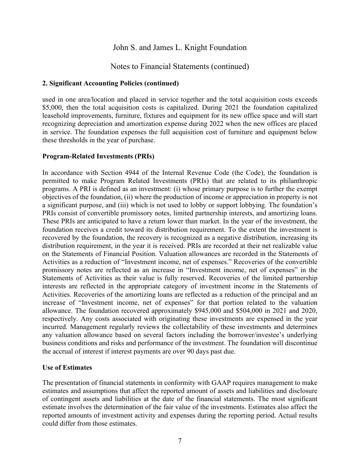### Notes to Financial Statements (continued)

#### **2. Significant Accounting Policies (continued)**

used in one area/location and placed in service together and the total acquisition costs exceeds \$5,000, then the total acquisition costs is capitalized. During 2021 the foundation capitalized leasehold improvements, furniture, fixtures and equipment for its new office space and will start recognizing depreciation and amortization expense during 2022 when the new offices are placed in service. The foundation expenses the full acquisition cost of furniture and equipment below these thresholds in the year of purchase.

#### **Program-Related Investments (PRIs)**

In accordance with Section 4944 of the Internal Revenue Code (the Code), the foundation is permitted to make Program Related Investments (PRIs) that are related to its philanthropic programs. A PRI is defined as an investment: (i) whose primary purpose is to further the exempt objectives of the foundation, (ii) where the production of income or appreciation in property is not a significant purpose, and (iii) which is not used to lobby or support lobbying. The foundation's PRIs consist of convertible promissory notes, limited partnership interests, and amortizing loans. These PRIs are anticipated to have a return lower than market. In the year of the investment, the foundation receives a credit toward its distribution requirement. To the extent the investment is recovered by the foundation, the recovery is recognized as a negative distribution, increasing its distribution requirement, in the year it is received. PRIs are recorded at their net realizable value on the Statements of Financial Position. Valuation allowances are recorded in the Statements of Activities as a reduction of "Investment income, net of expenses." Recoveries of the convertible promissory notes are reflected as an increase in "Investment income, net of expenses" in the Statements of Activities as their value is fully reserved. Recoveries of the limited partnership interests are reflected in the appropriate category of investment income in the Statements of Activities. Recoveries of the amortizing loans are reflected as a reduction of the principal and an increase of "Investment income, net of expenses" for that portion related to the valuation allowance. The foundation recovered approximately \$945,000 and \$504,000 in 2021 and 2020, respectively. Any costs associated with originating these investments are expensed in the year incurred. Management regularly reviews the collectability of these investments and determines any valuation allowance based on several factors including the borrower/investee's underlying business conditions and risks and performance of the investment. The foundation will discontinue the accrual of interest if interest payments are over 90 days past due.

#### **Use of Estimates**

The presentation of financial statements in conformity with GAAP requires management to make estimates and assumptions that affect the reported amount of assets and liabilities and disclosure of contingent assets and liabilities at the date of the financial statements. The most significant estimate involves the determination of the fair value of the investments. Estimates also affect the reported amounts of investment activity and expenses during the reporting period. Actual results could differ from those estimates.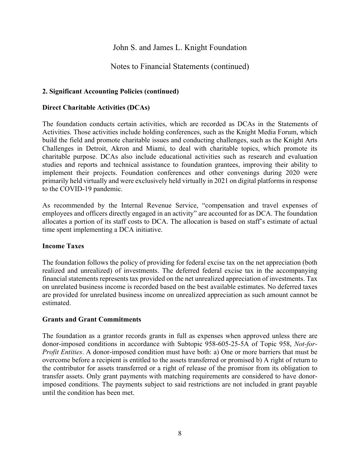## Notes to Financial Statements (continued)

#### **2. Significant Accounting Policies (continued)**

#### **Direct Charitable Activities (DCAs)**

The foundation conducts certain activities, which are recorded as DCAs in the Statements of Activities. Those activities include holding conferences, such as the Knight Media Forum, which build the field and promote charitable issues and conducting challenges, such as the Knight Arts Challenges in Detroit, Akron and Miami, to deal with charitable topics, which promote its charitable purpose. DCAs also include educational activities such as research and evaluation studies and reports and technical assistance to foundation grantees, improving their ability to implement their projects. Foundation conferences and other convenings during 2020 were primarily held virtually and were exclusively held virtually in 2021 on digital platforms in response to the COVID-19 pandemic.

As recommended by the Internal Revenue Service, "compensation and travel expenses of employees and officers directly engaged in an activity" are accounted for as DCA. The foundation allocates a portion of its staff costs to DCA. The allocation is based on staff's estimate of actual time spent implementing a DCA initiative.

#### **Income Taxes**

The foundation follows the policy of providing for federal excise tax on the net appreciation (both realized and unrealized) of investments. The deferred federal excise tax in the accompanying financial statements represents tax provided on the net unrealized appreciation of investments. Tax on unrelated business income is recorded based on the best available estimates. No deferred taxes are provided for unrelated business income on unrealized appreciation as such amount cannot be estimated.

#### **Grants and Grant Commitments**

The foundation as a grantor records grants in full as expenses when approved unless there are donor-imposed conditions in accordance with Subtopic 958-605-25-5A of Topic 958, *Not-for-Profit Entities*. A donor-imposed condition must have both: a) One or more barriers that must be overcome before a recipient is entitled to the assets transferred or promised b) A right of return to the contributor for assets transferred or a right of release of the promisor from its obligation to transfer assets. Only grant payments with matching requirements are considered to have donorimposed conditions. The payments subject to said restrictions are not included in grant payable until the condition has been met.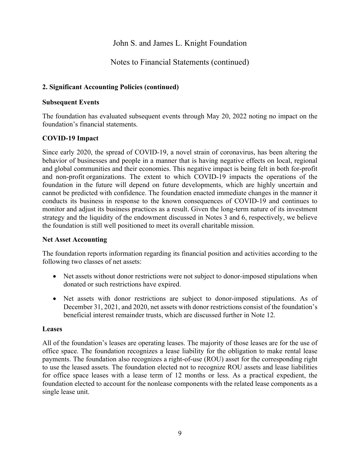## Notes to Financial Statements (continued)

#### **2. Significant Accounting Policies (continued)**

#### **Subsequent Events**

The foundation has evaluated subsequent events through May 20, 2022 noting no impact on the foundation's financial statements.

#### **COVID-19 Impact**

Since early 2020, the spread of COVID-19, a novel strain of coronavirus, has been altering the behavior of businesses and people in a manner that is having negative effects on local, regional and global communities and their economies. This negative impact is being felt in both for-profit and non-profit organizations. The extent to which COVID-19 impacts the operations of the foundation in the future will depend on future developments, which are highly uncertain and cannot be predicted with confidence. The foundation enacted immediate changes in the manner it conducts its business in response to the known consequences of COVID-19 and continues to monitor and adjust its business practices as a result. Given the long-term nature of its investment strategy and the liquidity of the endowment discussed in Notes 3 and 6, respectively, we believe the foundation is still well positioned to meet its overall charitable mission.

#### **Net Asset Accounting**

The foundation reports information regarding its financial position and activities according to the following two classes of net assets:

- Net assets without donor restrictions were not subject to donor-imposed stipulations when donated or such restrictions have expired.
- Net assets with donor restrictions are subject to donor-imposed stipulations. As of December 31, 2021, and 2020, net assets with donor restrictions consist of the foundation's beneficial interest remainder trusts, which are discussed further in Note 12.

#### **Leases**

All of the foundation's leases are operating leases. The majority of those leases are for the use of office space. The foundation recognizes a lease liability for the obligation to make rental lease payments. The foundation also recognizes a right-of-use (ROU) asset for the corresponding right to use the leased assets. The foundation elected not to recognize ROU assets and lease liabilities for office space leases with a lease term of 12 months or less. As a practical expedient, the foundation elected to account for the nonlease components with the related lease components as a single lease unit.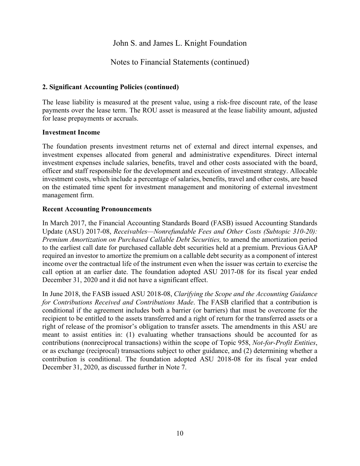## Notes to Financial Statements (continued)

#### **2. Significant Accounting Policies (continued)**

The lease liability is measured at the present value, using a risk-free discount rate, of the lease payments over the lease term. The ROU asset is measured at the lease liability amount, adjusted for lease prepayments or accruals.

#### **Investment Income**

The foundation presents investment returns net of external and direct internal expenses, and investment expenses allocated from general and administrative expenditures. Direct internal investment expenses include salaries, benefits, travel and other costs associated with the board, officer and staff responsible for the development and execution of investment strategy. Allocable investment costs, which include a percentage of salaries, benefits, travel and other costs, are based on the estimated time spent for investment management and monitoring of external investment management firm.

#### **Recent Accounting Pronouncements**

In March 2017, the Financial Accounting Standards Board (FASB) issued Accounting Standards Update (ASU) 2017-08, *Receivables—Nonrefundable Fees and Other Costs (Subtopic 310-20): Premium Amortization on Purchased Callable Debt Securities,* to amend the amortization period to the earliest call date for purchased callable debt securities held at a premium. Previous GAAP required an investor to amortize the premium on a callable debt security as a component of interest income over the contractual life of the instrument even when the issuer was certain to exercise the call option at an earlier date. The foundation adopted ASU 2017-08 for its fiscal year ended December 31, 2020 and it did not have a significant effect.

In June 2018, the FASB issued ASU 2018-08, *Clarifying the Scope and the Accounting Guidance for Contributions Received and Contributions Made*. The FASB clarified that a contribution is conditional if the agreement includes both a barrier (or barriers) that must be overcome for the recipient to be entitled to the assets transferred and a right of return for the transferred assets or a right of release of the promisor's obligation to transfer assets. The amendments in this ASU are meant to assist entities in: (1) evaluating whether transactions should be accounted for as contributions (nonreciprocal transactions) within the scope of Topic 958, *Not-for-Profit Entities*, or as exchange (reciprocal) transactions subject to other guidance, and (2) determining whether a contribution is conditional. The foundation adopted ASU 2018-08 for its fiscal year ended December 31, 2020, as discussed further in Note 7.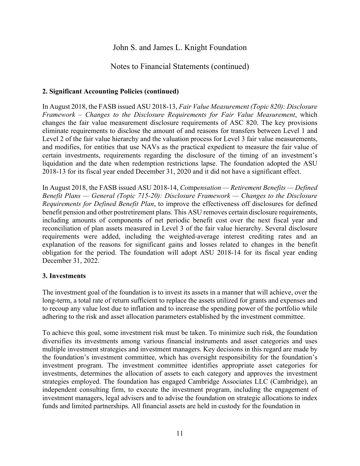## Notes to Financial Statements (continued)

#### **2. Significant Accounting Policies (continued)**

In August 2018, the FASB issued ASU 2018-13, *Fair Value Measurement (Topic 820): Disclosure Framework – Changes to the Disclosure Requirements for Fair Value Measurement*, which changes the fair value measurement disclosure requirements of ASC 820. The key provisions eliminate requirements to disclose the amount of and reasons for transfers between Level 1 and Level 2 of the fair value hierarchy and the valuation process for Level 3 fair value measurements, and modifies, for entities that use NAVs as the practical expedient to measure the fair value of certain investments, requirements regarding the disclosure of the timing of an investment's liquidation and the date when redemption restrictions lapse. The foundation adopted the ASU 2018-13 for its fiscal year ended December 31, 2020 and it did not have a significant effect.

In August 2018, the FASB issued ASU 2018-14, *Co*mp*ensation — Retirement Benefits — Defined Benefit Plans — General (Topic 715-20): Disclosure Framework — Changes to the Disclosure Requirements for Defined Benefit Plan*, to improve the effectiveness off disclosures for defined benefit pension and other postretirement plans. This ASU removes certain disclosure requirements, including amounts of components of net periodic benefit cost over the next fiscal year and reconciliation of plan assets measured in Level 3 of the fair value hierarchy. Several disclosure requirements were added, including the weighted-average interest crediting rates and an explanation of the reasons for significant gains and losses related to changes in the benefit obligation for the period. The foundation will adopt ASU 2018-14 for its fiscal year ending December 31, 2022.

#### **3. Investments**

The investment goal of the foundation is to invest its assets in a manner that will achieve, over the long-term, a total rate of return sufficient to replace the assets utilized for grants and expenses and to recoup any value lost due to inflation and to increase the spending power of the portfolio while adhering to the risk and asset allocation parameters established by the investment committee.

To achieve this goal, some investment risk must be taken. To minimize such risk, the foundation diversifies its investments among various financial instruments and asset categories and uses multiple investment strategies and investment managers. Key decisions in this regard are made by the foundation's investment committee, which has oversight responsibility for the foundation's investment program. The investment committee identifies appropriate asset categories for investments, determines the allocation of assets to each category and approves the investment strategies employed. The foundation has engaged Cambridge Associates LLC (Cambridge), an independent consulting firm, to execute the investment program, including the engagement of investment managers, legal advisers and to advise the foundation on strategic allocations to index funds and limited partnerships. All financial assets are held in custody for the foundation in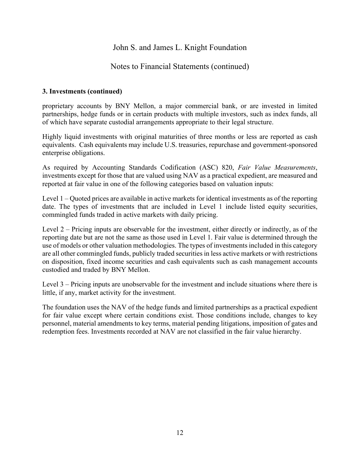## Notes to Financial Statements (continued)

#### **3. Investments (continued)**

proprietary accounts by BNY Mellon, a major commercial bank, or are invested in limited partnerships, hedge funds or in certain products with multiple investors, such as index funds, all of which have separate custodial arrangements appropriate to their legal structure.

Highly liquid investments with original maturities of three months or less are reported as cash equivalents. Cash equivalents may include U.S. treasuries, repurchase and government-sponsored enterprise obligations.

As required by Accounting Standards Codification (ASC) 820, *Fair Value Measurements*, investments except for those that are valued using NAV as a practical expedient, are measured and reported at fair value in one of the following categories based on valuation inputs:

Level 1 – Quoted prices are available in active markets for identical investments as of the reporting date. The types of investments that are included in Level 1 include listed equity securities, commingled funds traded in active markets with daily pricing.

Level 2 – Pricing inputs are observable for the investment, either directly or indirectly, as of the reporting date but are not the same as those used in Level 1. Fair value is determined through the use of models or other valuation methodologies. The types of investments included in this category are all other commingled funds, publicly traded securities in less active markets or with restrictions on disposition, fixed income securities and cash equivalents such as cash management accounts custodied and traded by BNY Mellon.

Level 3 – Pricing inputs are unobservable for the investment and include situations where there is little, if any, market activity for the investment.

The foundation uses the NAV of the hedge funds and limited partnerships as a practical expedient for fair value except where certain conditions exist. Those conditions include, changes to key personnel, material amendments to key terms, material pending litigations, imposition of gates and redemption fees. Investments recorded at NAV are not classified in the fair value hierarchy.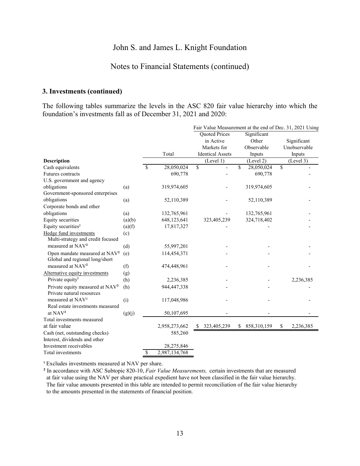## Notes to Financial Statements (continued)

#### **3. Investments (continued)**

The following tables summarize the levels in the ASC 820 fair value hierarchy into which the foundation's investments fall as of December 31, 2021 and 2020:

|                                             |        |               |               |                         | Fair Value Measurement at the end of Dec. 31, 2021 Using |                 |
|---------------------------------------------|--------|---------------|---------------|-------------------------|----------------------------------------------------------|-----------------|
|                                             |        |               |               | Quoted Prices           | Significant                                              |                 |
|                                             |        |               |               | in Active               | Other                                                    | Significant     |
|                                             |        |               |               | Markets for             | Observable                                               | Unobservable    |
|                                             |        |               | Total         | <b>Identical Assets</b> | Inputs                                                   | Inputs          |
| <b>Description</b>                          |        |               |               | (Level 1)               | (Level 2)                                                | (Level 3)       |
| Cash equivalents                            |        | \$            | 28,050,024    | \$                      | \$<br>28,050,024                                         | \$              |
| Futures contracts                           |        |               | 690,778       |                         | 690,778                                                  |                 |
| U.S. government and agency                  |        |               |               |                         |                                                          |                 |
| obligations                                 | (a)    |               | 319,974,605   |                         | 319,974,605                                              |                 |
| Government-sponsored enterprises            |        |               |               |                         |                                                          |                 |
| obligations                                 | (a)    |               | 52,110,389    |                         | 52,110,389                                               |                 |
| Corporate bonds and other                   |        |               |               |                         |                                                          |                 |
| obligations                                 | (a)    |               | 132,765,961   |                         | 132,765,961                                              |                 |
| <b>Equity securities</b>                    | (a)(b) |               | 648,123,641   | 323,405,239             | 324,718,402                                              |                 |
| Equity securities <sup>2</sup>              | (a)(f) |               | 17,817,327    |                         |                                                          |                 |
| Hedge fund investments                      | (c)    |               |               |                         |                                                          |                 |
| Multi-strategy and credit focused           |        |               |               |                         |                                                          |                 |
| measured at NAV <sup>2</sup>                | (d)    |               | 55,997,201    |                         |                                                          |                 |
| Open mandate measured at NAV <sup>2</sup>   | (e)    |               | 114,454,371   |                         |                                                          |                 |
| Global and regional long/short              |        |               |               |                         |                                                          |                 |
| measured at NAV <sup>2</sup>                | (f)    |               | 474,448,961   |                         |                                                          |                 |
| Alternative equity investments              | (g)    |               |               |                         |                                                          |                 |
| Private equity <sup>1</sup>                 | (h)    |               | 2,236,385     |                         |                                                          | 2,236,385       |
| Private equity measured at NAV <sup>2</sup> | (h)    |               | 944,447,338   |                         |                                                          |                 |
| Private natural resources                   |        |               |               |                         |                                                          |                 |
| measured at NAV <sup>2</sup>                | (i)    |               | 117,048,986   |                         |                                                          |                 |
| Real estate investments measured            |        |               |               |                         |                                                          |                 |
| at NAV <sup>2</sup>                         | (g)(j) |               | 50,107,695    |                         |                                                          |                 |
| Total investments measured                  |        |               |               |                         |                                                          |                 |
| at fair value                               |        |               | 2,958,273,662 | \$ 323,405,239          | \$<br>858,310,159                                        | \$<br>2,236,385 |
| Cash (net, outstanding checks)              |        |               | 585,260       |                         |                                                          |                 |
| Interest, dividends and other               |        |               |               |                         |                                                          |                 |
| Investment receivables                      |        |               | 28,275,846    |                         |                                                          |                 |
| Total investments                           |        | <sup>\$</sup> | 2,987,134,768 |                         |                                                          |                 |

<sup>1</sup> Excludes investments measured at NAV per share.

² In accordance with ASC Subtopic 820-10, *Fair Value Measurements,* certain investments that are measured at fair value using the NAV per share practical expedient have not been classified in the fair value hierarchy. The fair value amounts presented in this table are intended to permit reconciliation of the fair value hierarchy to the amounts presented in the statements of financial position.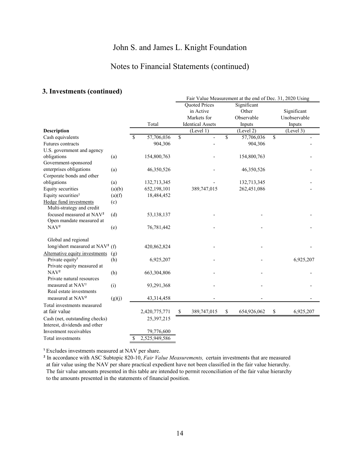## Notes to Financial Statements (continued)

#### **3. Investments (continued)**

|                                                                  |        |               |               |                         |                      |                         | Fair Value Measurement at the end of Dec. 31, 2020 Using |             |              |
|------------------------------------------------------------------|--------|---------------|---------------|-------------------------|----------------------|-------------------------|----------------------------------------------------------|-------------|--------------|
|                                                                  |        |               |               |                         | <b>Quoted Prices</b> |                         | Significant                                              |             |              |
|                                                                  |        |               |               |                         | in Active            |                         | Other                                                    |             | Significant  |
|                                                                  |        |               |               |                         | Markets for          |                         | Observable                                               |             | Unobservable |
|                                                                  |        | Total         |               | <b>Identical Assets</b> |                      | Inputs                  |                                                          | Inputs      |              |
| <b>Description</b>                                               |        |               |               |                         | (Level 1)            |                         | (Level 2)                                                |             | (Level 3)    |
| Cash equivalents                                                 |        | <sup>\$</sup> | 57,706,036    | \$                      | $\overline{a}$       | $\overline{\mathbf{S}}$ | 57,706,036                                               | $\mathbf S$ |              |
| Futures contracts                                                |        |               | 904,306       |                         |                      |                         | 904,306                                                  |             |              |
| U.S. government and agency                                       |        |               |               |                         |                      |                         |                                                          |             |              |
| obligations                                                      | (a)    |               | 154,800,763   |                         |                      |                         | 154,800,763                                              |             |              |
| Government-sponsored                                             |        |               |               |                         |                      |                         |                                                          |             |              |
| enterprises obligations                                          | (a)    |               | 46,350,526    |                         |                      |                         | 46,350,526                                               |             |              |
| Corporate bonds and other                                        |        |               |               |                         |                      |                         |                                                          |             |              |
| obligations                                                      | (a)    |               | 132,713,345   |                         |                      |                         | 132,713,345                                              |             |              |
| Equity securities                                                | (a)(b) |               | 652,198,101   |                         | 389,747,015          |                         | 262,451,086                                              |             |              |
| Equity securities <sup>2</sup>                                   | (a)(f) |               | 18,484,452    |                         |                      |                         |                                                          |             |              |
| Hedge fund investments<br>Multi-strategy and credit              | (c)    |               |               |                         |                      |                         |                                                          |             |              |
| focused measured at NAV <sup>2</sup><br>Open mandate measured at | (d)    |               | 53,138,137    |                         |                      |                         |                                                          |             |              |
| NAV <sup>2</sup>                                                 | (e)    |               | 76,781,442    |                         |                      |                         |                                                          |             |              |
| Global and regional                                              |        |               |               |                         |                      |                         |                                                          |             |              |
| long/short measured at NAV <sup>2</sup> (f)                      |        |               | 420,862,824   |                         |                      |                         |                                                          |             |              |
| Alternative equity investments                                   | (g)    |               |               |                         |                      |                         |                                                          |             |              |
| Private equity <sup>1</sup>                                      | (h)    |               | 6,925,207     |                         |                      |                         |                                                          |             | 6,925,207    |
| Private equity measured at                                       |        |               |               |                         |                      |                         |                                                          |             |              |
| NAV <sup>2</sup>                                                 | (h)    |               | 663,304,806   |                         |                      |                         |                                                          |             |              |
| Private natural resources                                        |        |               |               |                         |                      |                         |                                                          |             |              |
| measured at NAV <sup>2</sup>                                     | (i)    |               | 93,291,368    |                         |                      |                         |                                                          |             |              |
| Real estate investments                                          |        |               |               |                         |                      |                         |                                                          |             |              |
| measured at NAV <sup>2</sup>                                     | (g)(j) |               | 43,314,458    |                         |                      |                         |                                                          |             |              |
| Total investments measured                                       |        |               |               |                         |                      |                         |                                                          |             |              |
| at fair value                                                    |        |               | 2,420,775,771 | \$                      | 389,747,015          | \$                      | 654,926,062                                              | \$          | 6,925,207    |
| Cash (net, outstanding checks)                                   |        |               | 25,397,215    |                         |                      |                         |                                                          |             |              |
| Interest, dividends and other                                    |        |               |               |                         |                      |                         |                                                          |             |              |
| Investment receivables                                           |        |               | 79,776,600    |                         |                      |                         |                                                          |             |              |
| Total investments                                                |        | S             | 2,525,949,586 |                         |                      |                         |                                                          |             |              |

<sup>1</sup> Excludes investments measured at NAV per share.

² In accordance with ASC Subtopic 820-10, *Fair Value Measurements,* certain investments that are measured at fair value using the NAV per share practical expedient have not been classified in the fair value hierarchy. The fair value amounts presented in this table are intended to permit reconciliation of the fair value hierarchy to the amounts presented in the statements of financial position.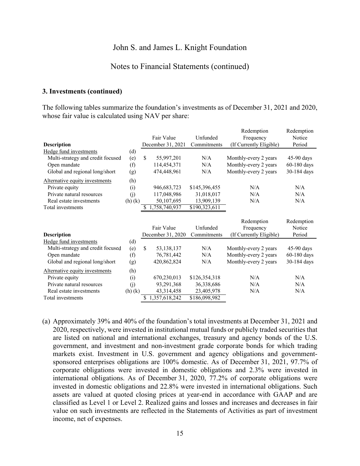#### Notes to Financial Statements (continued)

#### **3. Investments (continued)**

The following tables summarize the foundation's investments as of December 31, 2021 and 2020, whose fair value is calculated using NAV per share:

|                                   |        |                   |               | Redemption              | Redemption    |  |
|-----------------------------------|--------|-------------------|---------------|-------------------------|---------------|--|
|                                   |        | Fair Value        | Unfunded      | Frequency               | Notice        |  |
| <b>Description</b>                |        | December 31, 2021 | Commitments   | (If Currently Eligible) | Period        |  |
| Hedge fund investments            | (d)    |                   |               |                         |               |  |
| Multi-strategy and credit focused | (e)    | \$<br>55,997,201  | N/A           | Monthly-every 2 years   | $45-90$ days  |  |
| Open mandate                      | (f)    | 114,454,371       | N/A           | Monthly-every 2 years   | $60-180$ days |  |
| Global and regional long/short    | (g)    | 474,448,961       | N/A           | Monthly-every 2 years   | 30-184 days   |  |
| Alternative equity investments    | (h)    |                   |               |                         |               |  |
| Private equity                    | (i)    | 946,683,723       | \$145,396,455 | N/A                     | N/A           |  |
| Private natural resources         | (j)    | 117,048,986       | 31,018,017    | N/A                     | N/A           |  |
| Real estate investments           | (h)(k) | 50,107,695        | 13,909,139    | N/A                     | N/A           |  |
| Total investments                 |        | 1,758,740,937     | \$190,323,611 |                         |               |  |
|                                   |        |                   |               |                         |               |  |
|                                   |        |                   |               |                         |               |  |
|                                   |        |                   |               | Redemption              | Redemption    |  |
|                                   |        | Fair Value        | Unfunded      | Frequency               | Notice        |  |
| <b>Description</b>                |        | December 31, 2020 | Commitments   | (If Currently Eligible) | Period        |  |
| Hedge fund investments            | (d)    |                   |               |                         |               |  |
| Multi-strategy and credit focused | (e)    | \$<br>53,138,137  | N/A           | Monthly-every 2 years   | $45-90$ days  |  |
| Open mandate                      | (f)    | 76,781,442        | N/A           | Monthly-every 2 years   | $60-180$ days |  |
| Global and regional long/short    | (g)    | 420,862,824       | N/A           | Monthly-every 2 years   | 30-184 days   |  |
| Alternative equity investments    | (h)    |                   |               |                         |               |  |
| Private equity                    | (i)    | 670,230,013       | \$126,354,318 | N/A                     | N/A           |  |
| Private natural resources         | (j)    | 93,291,368        | 36,338,686    | N/A                     | N/A           |  |
| Real estate investments           | (h)(k) | 43,314,458        | 23,405,978    | N/A                     | N/A           |  |

(a) Approximately 39% and 40% of the foundation's total investments at December 31, 2021 and 2020, respectively, were invested in institutional mutual funds or publicly traded securities that are listed on national and international exchanges, treasury and agency bonds of the U.S. government, and investment and non-investment grade corporate bonds for which trading markets exist. Investment in U.S. government and agency obligations and governmentsponsored enterprises obligations are 100% domestic. As of December 31, 2021, 97.7% of corporate obligations were invested in domestic obligations and 2.3% were invested in international obligations. As of December 31, 2020, 77.2% of corporate obligations were invested in domestic obligations and 22.8% were invested in international obligations. Such assets are valued at quoted closing prices at year-end in accordance with GAAP and are classified as Level 1 or Level 2. Realized gains and losses and increases and decreases in fair value on such investments are reflected in the Statements of Activities as part of investment income, net of expenses.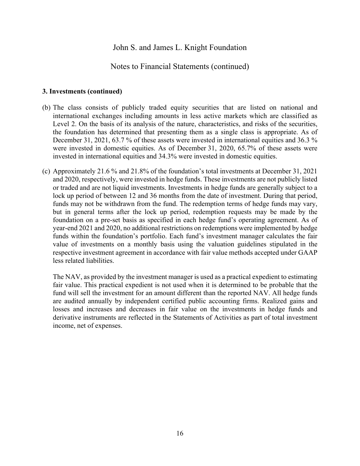## Notes to Financial Statements (continued)

#### **3. Investments (continued)**

- (b) The class consists of publicly traded equity securities that are listed on national and international exchanges including amounts in less active markets which are classified as Level 2. On the basis of its analysis of the nature, characteristics, and risks of the securities, the foundation has determined that presenting them as a single class is appropriate. As of December 31, 2021, 63.7 % of these assets were invested in international equities and 36.3 % were invested in domestic equities. As of December 31, 2020, 65.7% of these assets were invested in international equities and 34.3% were invested in domestic equities.
- (c) Approximately 21.6 % and 21.8% of the foundation's total investments at December 31, 2021 and 2020, respectively, were invested in hedge funds. These investments are not publicly listed or traded and are not liquid investments. Investments in hedge funds are generally subject to a lock up period of between 12 and 36 months from the date of investment. During that period, funds may not be withdrawn from the fund. The redemption terms of hedge funds may vary, but in general terms after the lock up period, redemption requests may be made by the foundation on a pre-set basis as specified in each hedge fund's operating agreement. As of year-end 2021 and 2020, no additional restrictions on redemptions were implemented by hedge funds within the foundation's portfolio. Each fund's investment manager calculates the fair value of investments on a monthly basis using the valuation guidelines stipulated in the respective investment agreement in accordance with fair value methods accepted under GAAP less related liabilities.

The NAV, as provided by the investment manager is used as a practical expedient to estimating fair value. This practical expedient is not used when it is determined to be probable that the fund will sell the investment for an amount different than the reported NAV. All hedge funds are audited annually by independent certified public accounting firms. Realized gains and losses and increases and decreases in fair value on the investments in hedge funds and derivative instruments are reflected in the Statements of Activities as part of total investment income, net of expenses.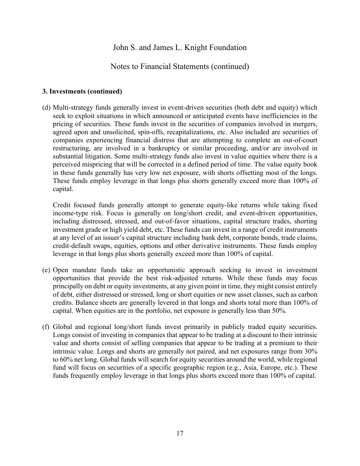### Notes to Financial Statements (continued)

#### **3. Investments (continued)**

(d) Multi-strategy funds generally invest in event-driven securities (both debt and equity) which seek to exploit situations in which announced or anticipated events have inefficiencies in the pricing of securities. These funds invest in the securities of companies involved in mergers, agreed upon and unsolicited, spin-offs, recapitalizations, etc. Also included are securities of companies experiencing financial distress that are attempting to complete an out-of-court restructuring, are involved in a bankruptcy or similar proceeding, and/or are involved in substantial litigation. Some multi-strategy funds also invest in value equities where there is a perceived mispricing that will be corrected in a defined period of time. The value equity book in these funds generally has very low net exposure, with shorts offsetting most of the longs. These funds employ leverage in that longs plus shorts generally exceed more than 100% of capital.

Credit focused funds generally attempt to generate equity-like returns while taking fixed income-type risk. Focus is generally on long/short credit, and event-driven opportunities, including distressed, stressed, and out-of-favor situations, capital structure trades, shorting investment grade or high yield debt, etc. These funds can invest in a range of credit instruments at any level of an issuer's capital structure including bank debt, corporate bonds, trade claims, credit-default swaps, equities, options and other derivative instruments. These funds employ leverage in that longs plus shorts generally exceed more than 100% of capital.

- (e) Open mandate funds take an opportunistic approach seeking to invest in investment opportunities that provide the best risk-adjusted returns. While these funds may focus principally on debt or equity investments, at any given point in time, they might consist entirely of debt, either distressed or stressed, long or short equities or new asset classes, such as carbon credits. Balance sheets are generally levered in that longs and shorts total more than 100% of capital. When equities are in the portfolio, net exposure is generally less than 50%.
- (f) Global and regional long/short funds invest primarily in publicly traded equity securities. Longs consist of investing in companies that appear to be trading at a discount to their intrinsic value and shorts consist of selling companies that appear to be trading at a premium to their intrinsic value. Longs and shorts are generally not paired, and net exposures range from 30% to 60% net long. Global funds will search for equity securities around the world, while regional fund will focus on securities of a specific geographic region (e.g., Asia, Europe, etc.). These funds frequently employ leverage in that longs plus shorts exceed more than 100% of capital.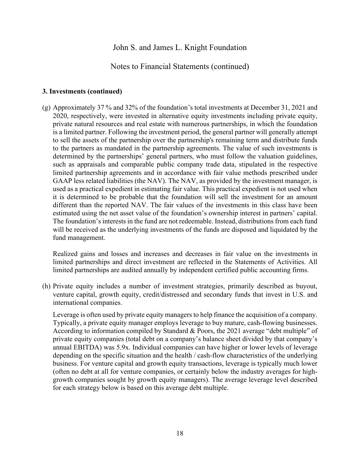#### Notes to Financial Statements (continued)

#### **3. Investments (continued)**

(g) Approximately 37 % and 32% of the foundation's total investments at December 31, 2021 and 2020, respectively, were invested in alternative equity investments including private equity, private natural resources and real estate with numerous partnerships, in which the foundation is a limited partner. Following the investment period, the general partner will generally attempt to sell the assets of the partnership over the partnership's remaining term and distribute funds to the partners as mandated in the partnership agreements. The value of such investments is determined by the partnerships' general partners, who must follow the valuation guidelines, such as appraisals and comparable public company trade data, stipulated in the respective limited partnership agreements and in accordance with fair value methods prescribed under GAAP less related liabilities (the NAV). The NAV, as provided by the investment manager, is used as a practical expedient in estimating fair value. This practical expedient is not used when it is determined to be probable that the foundation will sell the investment for an amount different than the reported NAV. The fair values of the investments in this class have been estimated using the net asset value of the foundation's ownership interest in partners' capital. The foundation's interests in the fund are not redeemable. Instead, distributions from each fund will be received as the underlying investments of the funds are disposed and liquidated by the fund management.

Realized gains and losses and increases and decreases in fair value on the investments in limited partnerships and direct investment are reflected in the Statements of Activities. All limited partnerships are audited annually by independent certified public accounting firms.

(h) Private equity includes a number of investment strategies, primarily described as buyout, venture capital, growth equity, credit/distressed and secondary funds that invest in U.S. and international companies.

Leverage is often used by private equity managers to help finance the acquisition of a company. Typically, a private equity manager employs leverage to buy mature, cash-flowing businesses. According to information compiled by Standard & Poors, the 2021 average "debt multiple" of private equity companies (total debt on a company's balance sheet divided by that company's annual EBITDA) was 5.9x. Individual companies can have higher or lower levels of leverage depending on the specific situation and the health / cash-flow characteristics of the underlying business. For venture capital and growth equity transactions, leverage is typically much lower (often no debt at all for venture companies, or certainly below the industry averages for highgrowth companies sought by growth equity managers). The average leverage level described for each strategy below is based on this average debt multiple.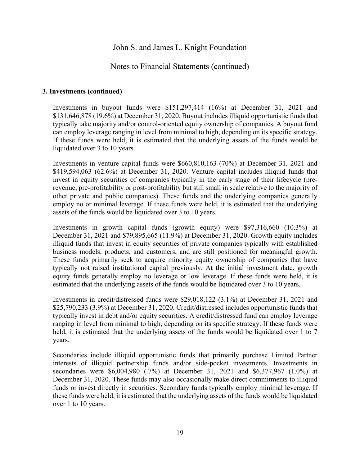### Notes to Financial Statements (continued)

#### **3. Investments (continued)**

Investments in buyout funds were \$151,297,414 (16%) at December 31, 2021 and \$131,646,878 (19.6%) at December 31, 2020. Buyout includes illiquid opportunistic funds that typically take majority and/or control-oriented equity ownership of companies. A buyout fund can employ leverage ranging in level from minimal to high, depending on its specific strategy. If these funds were held, it is estimated that the underlying assets of the funds would be liquidated over 3 to 10 years.

Investments in venture capital funds were \$660,810,163 (70%) at December 31, 2021 and \$419,594,063 (62.6%) at December 31, 2020. Venture capital includes illiquid funds that invest in equity securities of companies typically in the early stage of their lifecycle (prerevenue, pre-profitability or post-profitability but still small in scale relative to the majority of other private and public companies). These funds and the underlying companies generally employ no or minimal leverage. If these funds were held, it is estimated that the underlying assets of the funds would be liquidated over 3 to 10 years.

Investments in growth capital funds (growth equity) were \$97,316,660 (10.3%) at December 31, 2021 and \$79,895,665 (11.9%) at December 31, 2020. Growth equity includes illiquid funds that invest in equity securities of private companies typically with established business models, products, and customers, and are still positioned for meaningful growth. These funds primarily seek to acquire minority equity ownership of companies that have typically not raised institutional capital previously. At the initial investment date, growth equity funds generally employ no leverage or low leverage. If these funds were held, it is estimated that the underlying assets of the funds would be liquidated over 3 to 10 years.

Investments in credit/distressed funds were \$29,018,122 (3.1%) at December 31, 2021 and \$25,790,233 (3.9%) at December 31, 2020. Credit/distressed includes opportunistic funds that typically invest in debt and/or equity securities. A credit/distressed fund can employ leverage ranging in level from minimal to high, depending on its specific strategy. If these funds were held, it is estimated that the underlying assets of the funds would be liquidated over 1 to 7 years.

Secondaries include illiquid opportunistic funds that primarily purchase Limited Partner interests of illiquid partnership funds and/or side-pocket investments. Investments in secondaries were \$6,004,980 (.7%) at December 31, 2021 and \$6,377,967 (1.0%) at December 31, 2020. These funds may also occasionally make direct commitments to illiquid funds or invest directly in securities. Secondary funds typically employ minimal leverage. If these funds were held, it is estimated that the underlying assets of the funds would be liquidated over 1 to 10 years.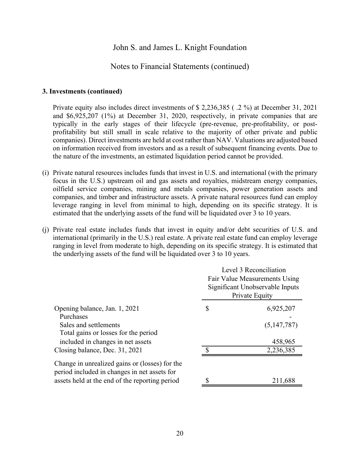#### Notes to Financial Statements (continued)

#### **3. Investments (continued)**

Private equity also includes direct investments of \$ 2,236,385 ( .2 %) at December 31, 2021 and \$6,925,207 (1%) at December 31, 2020, respectively, in private companies that are typically in the early stages of their lifecycle (pre-revenue, pre-profitability, or postprofitability but still small in scale relative to the majority of other private and public companies). Direct investments are held at cost rather than NAV. Valuations are adjusted based on information received from investors and as a result of subsequent financing events. Due to the nature of the investments, an estimated liquidation period cannot be provided.

- (i) Private natural resources includes funds that invest in U.S. and international (with the primary focus in the U.S.) upstream oil and gas assets and royalties, midstream energy companies, oilfield service companies, mining and metals companies, power generation assets and companies, and timber and infrastructure assets. A private natural resources fund can employ leverage ranging in level from minimal to high, depending on its specific strategy. It is estimated that the underlying assets of the fund will be liquidated over 3 to 10 years.
- (j) Private real estate includes funds that invest in equity and/or debt securities of U.S. and international (primarily in the U.S.) real estate. A private real estate fund can employ leverage ranging in level from moderate to high, depending on its specific strategy. It is estimated that the underlying assets of the fund will be liquidated over 3 to 10 years.

|                                                                                                | Level 3 Reconciliation<br>Fair Value Measurements Using<br>Significant Unobservable Inputs<br>Private Equity |
|------------------------------------------------------------------------------------------------|--------------------------------------------------------------------------------------------------------------|
| Opening balance, Jan. 1, 2021                                                                  | \$<br>6,925,207                                                                                              |
| Purchases                                                                                      |                                                                                                              |
| Sales and settlements                                                                          | (5,147,787)                                                                                                  |
| Total gains or losses for the period                                                           |                                                                                                              |
| included in changes in net assets                                                              | 458,965                                                                                                      |
| Closing balance, Dec. 31, 2021                                                                 | 2,236,385                                                                                                    |
| Change in unrealized gains or (losses) for the<br>period included in changes in net assets for |                                                                                                              |
| assets held at the end of the reporting period                                                 | 211,688                                                                                                      |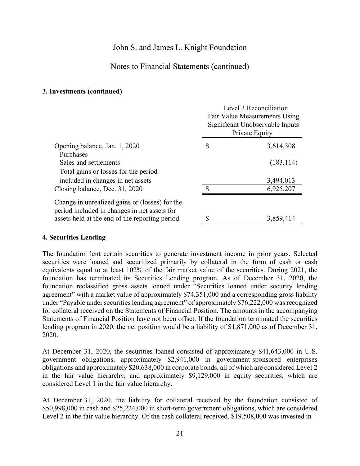## Notes to Financial Statements (continued)

#### **3. Investments (continued)**

|                                                                                                | Level 3 Reconciliation<br>Fair Value Measurements Using<br>Significant Unobservable Inputs<br>Private Equity |            |  |  |  |  |
|------------------------------------------------------------------------------------------------|--------------------------------------------------------------------------------------------------------------|------------|--|--|--|--|
| Opening balance, Jan. 1, 2020                                                                  | \$                                                                                                           | 3,614,308  |  |  |  |  |
| Purchases                                                                                      |                                                                                                              |            |  |  |  |  |
| Sales and settlements                                                                          |                                                                                                              | (183, 114) |  |  |  |  |
| Total gains or losses for the period                                                           |                                                                                                              |            |  |  |  |  |
| included in changes in net assets                                                              |                                                                                                              | 3,494,013  |  |  |  |  |
| Closing balance, Dec. 31, 2020                                                                 |                                                                                                              | 6,925,207  |  |  |  |  |
| Change in unrealized gains or (losses) for the<br>period included in changes in net assets for |                                                                                                              |            |  |  |  |  |
| assets held at the end of the reporting period                                                 |                                                                                                              | 3,859,414  |  |  |  |  |
|                                                                                                |                                                                                                              |            |  |  |  |  |

#### **4. Securities Lending**

The foundation lent certain securities to generate investment income in prior years. Selected securities were loaned and securitized primarily by collateral in the form of cash or cash equivalents equal to at least 102% of the fair market value of the securities. During 2021, the foundation has terminated its Securities Lending program. As of December 31, 2020, the foundation reclassified gross assets loaned under "Securities loaned under security lending agreement" with a market value of approximately \$74,351,000 and a corresponding gross liability under "Payable under securities lending agreement" of approximately \$76,222,000 was recognized for collateral received on the Statements of Financial Position. The amounts in the accompanying Statements of Financial Position have not been offset. If the foundation terminated the securities lending program in 2020, the net position would be a liability of \$1,871,000 as of December 31, 2020.

At December 31, 2020, the securities loaned consisted of approximately \$41,643,000 in U.S. government obligations, approximately \$2,941,000 in government-sponsored enterprises obligations and approximately \$20,638,000 in corporate bonds, all of which are considered Level 2 in the fair value hierarchy, and approximately \$9,129,000 in equity securities, which are considered Level 1 in the fair value hierarchy.

At December 31, 2020, the liability for collateral received by the foundation consisted of \$50,998,000 in cash and \$25,224,000 in short-term government obligations, which are considered Level 2 in the fair value hierarchy. Of the cash collateral received, \$19,508,000 was invested in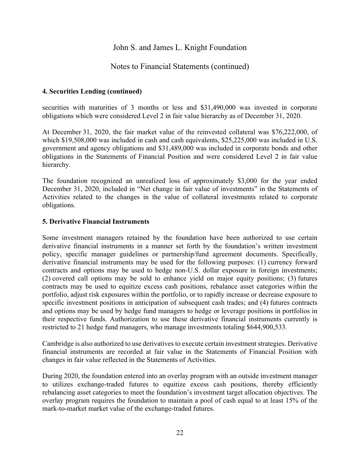### Notes to Financial Statements (continued)

#### **4. Securities Lending (continued)**

securities with maturities of 3 months or less and \$31,490,000 was invested in corporate obligations which were considered Level 2 in fair value hierarchy as of December 31, 2020.

At December 31, 2020, the fair market value of the reinvested collateral was \$76,222,000, of which \$19,508,000 was included in cash and cash equivalents, \$25,225,000 was included in U.S. government and agency obligations and \$31,489,000 was included in corporate bonds and other obligations in the Statements of Financial Position and were considered Level 2 in fair value hierarchy.

The foundation recognized an unrealized loss of approximately \$3,000 for the year ended December 31, 2020, included in "Net change in fair value of investments" in the Statements of Activities related to the changes in the value of collateral investments related to corporate obligations.

#### **5. Derivative Financial Instruments**

Some investment managers retained by the foundation have been authorized to use certain derivative financial instruments in a manner set forth by the foundation's written investment policy, specific manager guidelines or partnership/fund agreement documents. Specifically, derivative financial instruments may be used for the following purposes: (1) currency forward contracts and options may be used to hedge non-U.S. dollar exposure in foreign investments; (2) covered call options may be sold to enhance yield on major equity positions; (3) futures contracts may be used to equitize excess cash positions, rebalance asset categories within the portfolio, adjust risk exposures within the portfolio, or to rapidly increase or decrease exposure to specific investment positions in anticipation of subsequent cash trades; and (4) futures contracts and options may be used by hedge fund managers to hedge or leverage positions in portfolios in their respective funds. Authorization to use these derivative financial instruments currently is restricted to 21 hedge fund managers, who manage investments totaling \$644,900,533.

Cambridge is also authorized to use derivatives to execute certain investment strategies. Derivative financial instruments are recorded at fair value in the Statements of Financial Position with changes in fair value reflected in the Statements of Activities.

During 2020, the foundation entered into an overlay program with an outside investment manager to utilizes exchange-traded futures to equitize excess cash positions, thereby efficiently rebalancing asset categories to meet the foundation's investment target allocation objectives. The overlay program requires the foundation to maintain a pool of cash equal to at least 15% of the mark-to-market market value of the exchange-traded futures.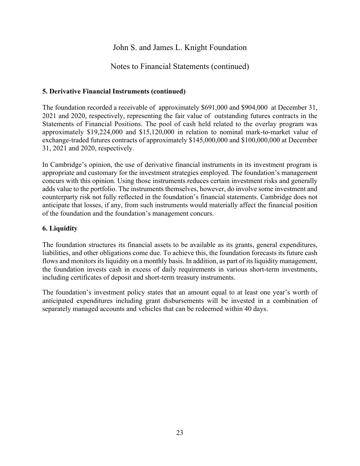## Notes to Financial Statements (continued)

#### **5. Derivative Financial Instruments (continued)**

The foundation recorded a receivable of approximately \$691,000 and \$904,000 at December 31, 2021 and 2020, respectively, representing the fair value of outstanding futures contracts in the Statements of Financial Positions. The pool of cash held related to the overlay program was approximately \$19,224,000 and \$15,120,000 in relation to nominal mark-to-market value of exchange-traded futures contracts of approximately \$145,000,000 and \$100,000,000 at December 31, 2021 and 2020, respectively.

In Cambridge's opinion, the use of derivative financial instruments in its investment program is appropriate and customary for the investment strategies employed. The foundation's management concurs with this opinion. Using those instruments reduces certain investment risks and generally adds value to the portfolio. The instruments themselves, however, do involve some investment and counterparty risk not fully reflected in the foundation's financial statements. Cambridge does not anticipate that losses, if any, from such instruments would materially affect the financial position of the foundation and the foundation's management concurs.

#### **6. Liquidity**

The foundation structures its financial assets to be available as its grants, general expenditures, liabilities, and other obligations come due. To achieve this, the foundation forecasts its future cash flows and monitors its liquidity on a monthly basis. In addition, as part of its liquidity management, the foundation invests cash in excess of daily requirements in various short-term investments, including certificates of deposit and short-term treasury instruments.

The foundation's investment policy states that an amount equal to at least one year's worth of anticipated expenditures including grant disbursements will be invested in a combination of separately managed accounts and vehicles that can be redeemed within 40 days.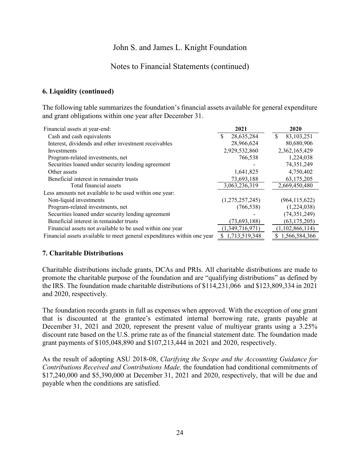### Notes to Financial Statements (continued)

#### **6. Liquidity (continued)**

The following table summarizes the foundation's financial assets available for general expenditure and grant obligations within one year after December 31.

| Financial assets at year-end:                                           | 2021            | 2020             |
|-------------------------------------------------------------------------|-----------------|------------------|
| Cash and cash equivalents                                               | 28,635,284      | \$<br>83,103,251 |
| Interest, dividends and other investment receivables                    | 28,966,624      | 80,680,906       |
| Investments                                                             | 2,929,532,860   | 2,362,165,429    |
| Program-related investments, net                                        | 766,538         | 1,224,038        |
| Securities loaned under security lending agreement                      |                 | 74, 351, 249     |
| Other assets                                                            | 1,641,825       | 4,750,402        |
| Beneficial interest in remainder trusts                                 | 73,693,188      | 63,175,205       |
| Total financial assets                                                  | 3,063,236,319   | 2,669,450,480    |
| Less amounts not available to be used within one year:                  |                 |                  |
| Non-liquid investments                                                  | (1,275,257,245) | (964, 115, 622)  |
| Program-related investments, net                                        | (766, 538)      | (1,224,038)      |
| Securities loaned under security lending agreement                      |                 | (74, 351, 249)   |
| Beneficial interest in remainder trusts                                 | (73, 693, 188)  | (63, 175, 205)   |
| Financial assets not available to be used within one year               | (1,349,716,971) | (1,102,866,114)  |
| Financial assets available to meet general expenditures within one year | 1,713,519,348   | 1,566,584,366    |

#### **7. Charitable Distributions**

Charitable distributions include grants, DCAs and PRIs. All charitable distributions are made to promote the charitable purpose of the foundation and are "qualifying distributions" as defined by the IRS. The foundation made charitable distributions of \$114,231,066 and \$123,809,334 in 2021 and 2020, respectively.

The foundation records grants in full as expenses when approved. With the exception of one grant that is discounted at the grantee's estimated internal borrowing rate, grants payable at December 31, 2021 and 2020, represent the present value of multiyear grants using a 3.25% discount rate based on the U.S. prime rate as of the financial statement date. The foundation made grant payments of \$105,048,890 and \$107,213,444 in 2021 and 2020, respectively.

As the result of adopting ASU 2018-08, *Clarifying the Scope and the Accounting Guidance for Contributions Received and Contributions Made,* the foundation had conditional commitments of \$17,240,000 and \$5,390,000 at December 31, 2021 and 2020, respectively, that will be due and payable when the conditions are satisfied.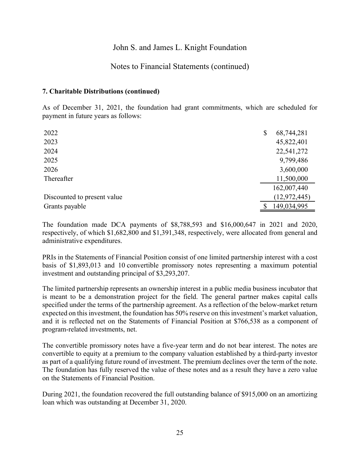### Notes to Financial Statements (continued)

#### **7. Charitable Distributions (continued)**

As of December 31, 2021, the foundation had grant commitments, which are scheduled for payment in future years as follows:

| 2022                        | \$<br>68,744,281 |
|-----------------------------|------------------|
| 2023                        | 45,822,401       |
| 2024                        | 22,541,272       |
| 2025                        | 9,799,486        |
| 2026                        | 3,600,000        |
| Thereafter                  | 11,500,000       |
|                             | 162,007,440      |
| Discounted to present value | (12, 972, 445)   |
| Grants payable              | 149,034,995      |

The foundation made DCA payments of \$8,788,593 and \$16,000,647 in 2021 and 2020, respectively, of which \$1,682,800 and \$1,391,348, respectively, were allocated from general and administrative expenditures.

PRIs in the Statements of Financial Position consist of one limited partnership interest with a cost basis of \$1,893,013 and 10 convertible promissory notes representing a maximum potential investment and outstanding principal of \$3,293,207.

The limited partnership represents an ownership interest in a public media business incubator that is meant to be a demonstration project for the field. The general partner makes capital calls specified under the terms of the partnership agreement. As a reflection of the below-market return expected on this investment, the foundation has 50% reserve on this investment's market valuation, and it is reflected net on the Statements of Financial Position at \$766,538 as a component of program-related investments, net.

The convertible promissory notes have a five-year term and do not bear interest. The notes are convertible to equity at a premium to the company valuation established by a third-party investor as part of a qualifying future round of investment. The premium declines over the term of the note. The foundation has fully reserved the value of these notes and as a result they have a zero value on the Statements of Financial Position.

During 2021, the foundation recovered the full outstanding balance of \$915,000 on an amortizing loan which was outstanding at December 31, 2020.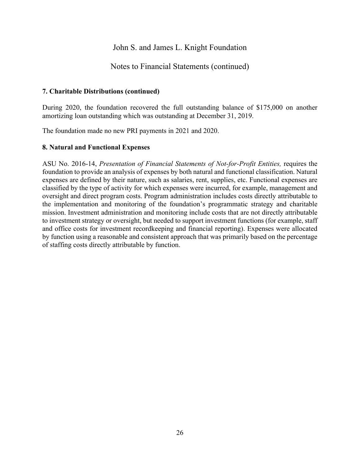### Notes to Financial Statements (continued)

#### **7. Charitable Distributions (continued)**

During 2020, the foundation recovered the full outstanding balance of \$175,000 on another amortizing loan outstanding which was outstanding at December 31, 2019.

The foundation made no new PRI payments in 2021 and 2020.

#### **8. Natural and Functional Expenses**

ASU No. 2016-14, *Presentation of Financial Statements of Not-for-Profit Entities,* requires the foundation to provide an analysis of expenses by both natural and functional classification. Natural expenses are defined by their nature, such as salaries, rent, supplies, etc. Functional expenses are classified by the type of activity for which expenses were incurred, for example, management and oversight and direct program costs. Program administration includes costs directly attributable to the implementation and monitoring of the foundation's programmatic strategy and charitable mission. Investment administration and monitoring include costs that are not directly attributable to investment strategy or oversight, but needed to support investment functions (for example, staff and office costs for investment recordkeeping and financial reporting). Expenses were allocated by function using a reasonable and consistent approach that was primarily based on the percentage of staffing costs directly attributable by function.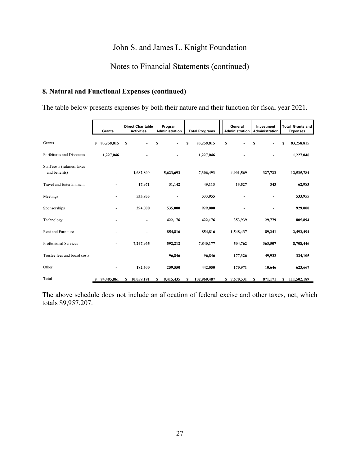## Notes to Financial Statements (continued)

#### **8. Natural and Functional Expenses (continued)**

The table below presents expenses by both their nature and their function for fiscal year 2021.

|                                               |     | Grants     |    | <b>Direct Charitable</b><br><b>Activities</b> |    | Program<br>Administration |    | <b>Total Programs</b> | General<br><b>Administration</b> | Investment<br>Administration | <b>Total Grants and</b><br><b>Expenses</b> |
|-----------------------------------------------|-----|------------|----|-----------------------------------------------|----|---------------------------|----|-----------------------|----------------------------------|------------------------------|--------------------------------------------|
| Grants                                        | S   | 83,258,815 | \$ | $\blacksquare$                                | S  | $\overline{\phantom{a}}$  | \$ | 83,258,815            | \$                               | \$                           | \$<br>83,258,815                           |
| Forfeitures and Discounts                     |     | 1,227,046  |    |                                               |    |                           |    | 1,227,046             |                                  |                              | 1,227,046                                  |
| Staff costs (salaries, taxes<br>and benefits) |     |            |    | 1,682,800                                     |    | 5,623,693                 |    | 7,306,493             | 4,901,569                        | 327,722                      | 12,535,784                                 |
| <b>Travel and Entertainment</b>               |     |            |    | 17,971                                        |    | 31,142                    |    | 49,113                | 13,527                           | 343                          | 62,983                                     |
| Meetings                                      |     |            |    | 533,955                                       |    |                           |    | 533,955               |                                  |                              | 533,955                                    |
| Sponsorships                                  |     |            |    | 394,000                                       |    | 535,000                   |    | 929,000               |                                  |                              | 929,000                                    |
| Technology                                    |     |            |    | ٠                                             |    | 422,176                   |    | 422,176               | 353,939                          | 29,779                       | 805,894                                    |
| Rent and Furniture                            |     |            |    | ۰                                             |    | 854,816                   |    | 854,816               | 1,548,437                        | 89,241                       | 2,492,494                                  |
| Professional Services                         |     |            |    | 7,247,965                                     |    | 592,212                   |    | 7,840,177             | 504,762                          | 363,507                      | 8,708,446                                  |
| Trustee fees and board costs                  |     |            |    |                                               |    | 96,846                    |    | 96,846                | 177,326                          | 49,933                       | 324,105                                    |
| Other                                         |     |            |    | 182,500                                       |    | 259,550                   |    | 442,050               | 170,971                          | 10,646                       | 623,667                                    |
| <b>Total</b>                                  | -SS | 84,485,861 | S  | 10,059,191                                    | \$ | 8,415,435                 | s  | 102,960,487           | \$7,670,531                      | \$<br>871,171                | \$<br>111,502,189                          |

The above schedule does not include an allocation of federal excise and other taxes, net, which totals \$9,957,207.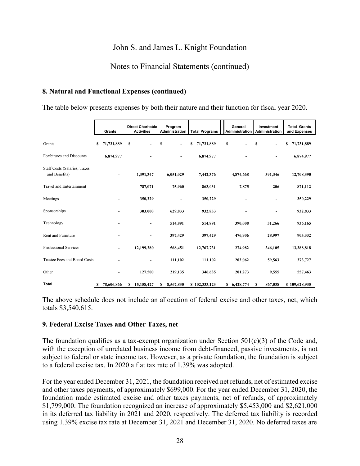## Notes to Financial Statements (continued)

#### **8. Natural and Functional Expenses (continued)**

The table below presents expenses by both their nature and their function for fiscal year 2020.

|                                                      |    | Grants                   |   | <b>Direct Charitable</b><br><b>Activities</b> |    | Program<br>Administration |   | <b>Total Programs</b> |    | General<br>Administration |    | Investment<br>Administration |   | <b>Total Grants</b><br>and Expenses |  |
|------------------------------------------------------|----|--------------------------|---|-----------------------------------------------|----|---------------------------|---|-----------------------|----|---------------------------|----|------------------------------|---|-------------------------------------|--|
| Grants                                               | S  | 71,731,889               | s | $\overline{a}$                                | \$ | ÷.                        | S | 71,731,889            | \$ |                           | \$ | $\overline{\phantom{0}}$     | s | 71,731,889                          |  |
| Forfeitures and Discounts                            |    | 6,874,977                |   |                                               |    |                           |   | 6,874,977             |    |                           |    |                              |   | 6,874,977                           |  |
| <b>Staff Costs (Salaries, Taxes</b><br>and Benefits) |    | ۰                        |   | 1,391,347                                     |    | 6,051,029                 |   | 7,442,376             |    | 4,874,668                 |    | 391,346                      |   | 12,708,390                          |  |
| <b>Travel and Entertainment</b>                      |    | ۰                        |   | 787,071                                       |    | 75,960                    |   | 863,031               |    | 7,875                     |    | 206                          |   | 871,112                             |  |
| Meetings                                             |    |                          |   | 350,229                                       |    |                           |   | 350,229               |    |                           |    |                              |   | 350,229                             |  |
| Sponsorships                                         |    |                          |   | 303,000                                       |    | 629,833                   |   | 932,833               |    |                           |    |                              |   | 932,833                             |  |
| Technology                                           |    |                          |   | $\overline{\phantom{a}}$                      |    | 514,891                   |   | 514,891               |    | 390,008                   |    | 31,266                       |   | 936,165                             |  |
| <b>Rent and Furniture</b>                            |    |                          |   |                                               |    | 397,429                   |   | 397,429               |    | 476,906                   |    | 28,997                       |   | 903,332                             |  |
| Professional Services                                |    | $\overline{\phantom{a}}$ |   | 12,199,280                                    |    | 568,451                   |   | 12,767,731            |    | 274,982                   |    | 346,105                      |   | 13,388,818                          |  |
| Trustee Fees and Board Costs                         |    |                          |   |                                               |    | 111,102                   |   | 111,102               |    | 203,062                   |    | 59,563                       |   | 373,727                             |  |
| Other                                                |    | ۰                        |   | 127,500                                       |    | 219,135                   |   | 346,635               |    | 201,273                   |    | 9,555                        |   | 557,463                             |  |
| <b>Total</b>                                         | \$ | 78,606,866               | S | 15,158,427                                    | S  | 8,567,830                 |   | \$102,333,123         |    | \$ 6,428,774              | \$ | 867,038                      |   | \$109,628,935                       |  |

The above schedule does not include an allocation of federal excise and other taxes, net, which totals \$3,540,615.

#### **9. Federal Excise Taxes and Other Taxes, net**

The foundation qualifies as a tax-exempt organization under Section  $501(c)(3)$  of the Code and, with the exception of unrelated business income from debt-financed, passive investments, is not subject to federal or state income tax. However, as a private foundation, the foundation is subject to a federal excise tax. In 2020 a flat tax rate of 1.39% was adopted.

For the year ended December 31, 2021, the foundation received net refunds, net of estimated excise and other taxes payments, of approximately \$699,000. For the year ended December 31, 2020, the foundation made estimated excise and other taxes payments, net of refunds, of approximately \$1,799,000. The foundation recognized an increase of approximately \$5,453,000 and \$2,621,000 in its deferred tax liability in 2021 and 2020, respectively. The deferred tax liability is recorded using 1.39% excise tax rate at December 31, 2021 and December 31, 2020. No deferred taxes are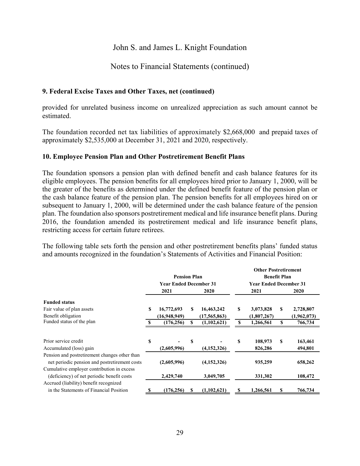### Notes to Financial Statements (continued)

#### **9. Federal Excise Taxes and Other Taxes, net (continued)**

provided for unrelated business income on unrealized appreciation as such amount cannot be estimated.

The foundation recorded net tax liabilities of approximately \$2,668,000 and prepaid taxes of approximately \$2,535,000 at December 31, 2021 and 2020, respectively.

#### **10. Employee Pension Plan and Other Postretirement Benefit Plans**

The foundation sponsors a pension plan with defined benefit and cash balance features for its eligible employees. The pension benefits for all employees hired prior to January 1, 2000, will be the greater of the benefits as determined under the defined benefit feature of the pension plan or the cash balance feature of the pension plan. The pension benefits for all employees hired on or subsequent to January 1, 2000, will be determined under the cash balance feature of the pension plan. The foundation also sponsors postretirement medical and life insurance benefit plans. During 2016, the foundation amended its postretirement medical and life insurance benefit plans, restricting access for certain future retirees.

The following table sets forth the pension and other postretirement benefits plans' funded status and amounts recognized in the foundation's Statements of Activities and Financial Position:

|                                                                                                |    | <b>Pension Plan</b><br><b>Year Ended December 31</b> |   |                |   | <b>Other Postretirement</b><br><b>Benefit Plan</b><br><b>Year Ended December 31</b> |    |             |
|------------------------------------------------------------------------------------------------|----|------------------------------------------------------|---|----------------|---|-------------------------------------------------------------------------------------|----|-------------|
|                                                                                                |    | 2021                                                 |   | 2020           |   | 2021                                                                                |    | <b>2020</b> |
| <b>Funded status</b>                                                                           |    |                                                      |   |                |   |                                                                                     |    |             |
| Fair value of plan assets                                                                      | S  | 16,772,693                                           | S | 16,463,242     | S | 3,073,828                                                                           | S  | 2,728,807   |
| Benefit obligation                                                                             |    | (16,948,949)                                         |   | (17, 565, 863) |   | (1,807,267)                                                                         |    | (1,962,073) |
| Funded status of the plan                                                                      | -S | (176, 256)                                           | S | (1,102,621)    | S | 1,266,561                                                                           | \$ | 766,734     |
|                                                                                                |    |                                                      |   |                |   |                                                                                     |    |             |
| Prior service credit                                                                           | \$ |                                                      | S |                | S | 108,973                                                                             | S  | 163,461     |
| Accumulated (loss) gain                                                                        |    | (2,605,996)                                          |   | (4,152,326)    |   | 826,286                                                                             |    | 494,801     |
| Pension and postretirement changes other than<br>net periodic pension and postretirement costs |    | (2,605,996)                                          |   | (4,152,326)    |   | 935,259                                                                             |    | 658,262     |
| Cumulative employer contribution in excess<br>(deficiency) of net periodic benefit costs       |    | 2,429,740                                            |   | 3,049,705      |   | 331,302                                                                             |    | 108,472     |
| Accrued (liability) benefit recognized                                                         |    |                                                      |   |                |   |                                                                                     |    |             |
| in the Statements of Financial Position                                                        |    | (176, 256)                                           | S | (1,102,621)    | S | 1,266,561                                                                           | S  | 766,734     |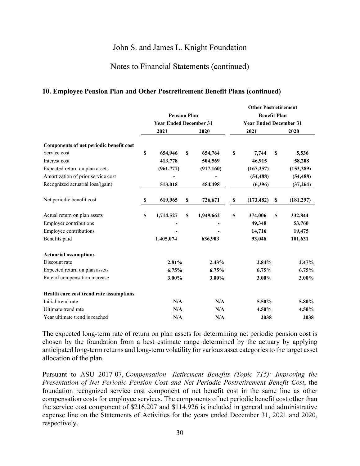#### Notes to Financial Statements (continued)

#### **10. Employee Pension Plan and Other Postretirement Benefit Plans (continued)**

|                                         | <b>Pension Plan</b><br><b>Year Ended December 31</b><br>2021<br>2020 |            |             |           | <b>Other Postretirement</b><br><b>Benefit Plan</b><br><b>Year Ended December 31</b><br>2021 |            |    | 2020       |  |
|-----------------------------------------|----------------------------------------------------------------------|------------|-------------|-----------|---------------------------------------------------------------------------------------------|------------|----|------------|--|
|                                         |                                                                      |            |             |           |                                                                                             |            |    |            |  |
| Components of net periodic benefit cost |                                                                      |            |             |           |                                                                                             |            |    |            |  |
| Service cost                            | \$                                                                   | 654,946    | \$          | 654,764   | \$                                                                                          | 7,744      | \$ | 5,536      |  |
| Interest cost                           |                                                                      | 413,778    |             | 504,569   |                                                                                             | 46,915     |    | 58,208     |  |
| Expected return on plan assets          |                                                                      | (961, 777) |             | (917,160) |                                                                                             | (167, 257) |    | (153, 289) |  |
| Amortization of prior service cost      |                                                                      |            |             |           |                                                                                             | (54, 488)  |    | (54, 488)  |  |
| Recognized actuarial loss/(gain)        |                                                                      | 513,018    |             | 484,498   |                                                                                             | (6, 396)   |    | (37,264)   |  |
| Net periodic benefit cost               | -S                                                                   | 619,965    | \$          | 726,671   | \$                                                                                          | (173, 482) | \$ | (181, 297) |  |
| Actual return on plan assets            | \$                                                                   | 1,714,527  | $\mathbf S$ | 1,949,662 | \$                                                                                          | 374,006    | \$ | 332,844    |  |
| <b>Employer contributions</b>           |                                                                      |            |             |           |                                                                                             | 49,348     |    | 53,760     |  |
| Employee contributions                  |                                                                      |            |             |           |                                                                                             | 14,716     |    | 19,475     |  |
| Benefits paid                           |                                                                      | 1,405,074  |             | 636,903   |                                                                                             | 93,048     |    | 101,631    |  |
| <b>Actuarial assumptions</b>            |                                                                      |            |             |           |                                                                                             |            |    |            |  |
| Discount rate                           |                                                                      | 2.81%      |             | 2.43%     |                                                                                             | 2.84%      |    | 2.47%      |  |
| Expected return on plan assets          |                                                                      | 6.75%      |             | 6.75%     |                                                                                             | 6.75%      |    | 6.75%      |  |
| Rate of compensation increase           |                                                                      | 3.00%      |             | 3.00%     |                                                                                             | 3.00%      |    | 3.00%      |  |
| Health care cost trend rate assumptions |                                                                      |            |             |           |                                                                                             |            |    |            |  |
| Initial trend rate                      |                                                                      | N/A        |             | N/A       |                                                                                             | 5.50%      |    | 5.80%      |  |
| Ultimate trend rate                     |                                                                      | N/A        |             | N/A       |                                                                                             | 4.50%      |    | 4.50%      |  |
| Year ultimate trend is reached          |                                                                      | N/A        |             | N/A       |                                                                                             | 2038       |    | 2038       |  |

The expected long-term rate of return on plan assets for determining net periodic pension cost is chosen by the foundation from a best estimate range determined by the actuary by applying anticipated long-term returns and long-term volatility for various asset categories to the target asset allocation of the plan.

Pursuant to ASU 2017-07, *Compensation—Retirement Benefits (Topic 715): Improving the Presentation of Net Periodic Pension Cost and Net Periodic Postretirement Benefit Cost*, the foundation recognized service cost component of net benefit cost in the same line as other compensation costs for employee services. The components of net periodic benefit cost other than the service cost component of \$216,207 and \$114,926 is included in general and administrative expense line on the Statements of Activities for the years ended December 31, 2021 and 2020, respectively.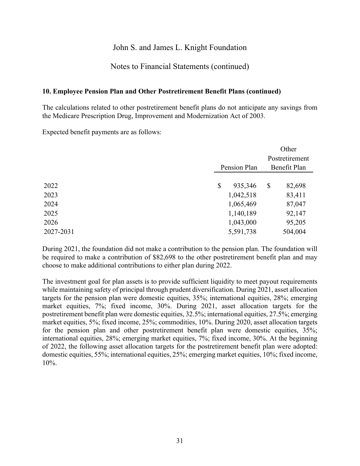#### Notes to Financial Statements (continued)

#### **10. Employee Pension Plan and Other Postretirement Benefit Plans (continued)**

The calculations related to other postretirement benefit plans do not anticipate any savings from the Medicare Prescription Drug, Improvement and Modernization Act of 2003.

Expected benefit payments are as follows:

|           |               |    | Other          |
|-----------|---------------|----|----------------|
|           |               |    | Postretirement |
|           | Pension Plan  |    | Benefit Plan   |
|           |               |    |                |
| 2022      | \$<br>935,346 | \$ | 82,698         |
| 2023      | 1,042,518     |    | 83,411         |
| 2024      | 1,065,469     |    | 87,047         |
| 2025      | 1,140,189     |    | 92,147         |
| 2026      | 1,043,000     |    | 95,205         |
| 2027-2031 | 5,591,738     |    | 504,004        |

During 2021, the foundation did not make a contribution to the pension plan. The foundation will be required to make a contribution of \$82,698 to the other postretirement benefit plan and may choose to make additional contributions to either plan during 2022.

The investment goal for plan assets is to provide sufficient liquidity to meet payout requirements while maintaining safety of principal through prudent diversification. During 2021, asset allocation targets for the pension plan were domestic equities, 35%; international equities, 28%; emerging market equities, 7%; fixed income, 30%. During 2021, asset allocation targets for the postretirement benefit plan were domestic equities, 32.5%; international equities, 27.5%; emerging market equities, 5%; fixed income, 25%; commodities, 10%. During 2020, asset allocation targets for the pension plan and other postretirement benefit plan were domestic equities, 35%; international equities, 28%; emerging market equities, 7%; fixed income, 30%. At the beginning of 2022, the following asset allocation targets for the postretirement benefit plan were adopted: domestic equities, 55%; international equities, 25%; emerging market equities, 10%; fixed income, 10%.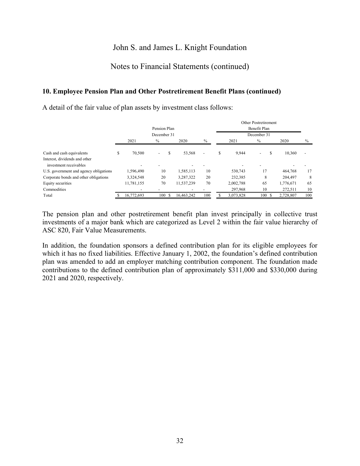## Notes to Financial Statements (continued)

#### **10. Employee Pension Plan and Other Postretirement Benefit Plans (continued)**

A detail of the fair value of plan assets by investment class follows:

|                                                         |             |            |                          |    |            |      |    |             | Other Postretirement |           |      |  |  |
|---------------------------------------------------------|-------------|------------|--------------------------|----|------------|------|----|-------------|----------------------|-----------|------|--|--|
|                                                         |             |            | Pension Plan             |    |            |      |    |             | Benefit Plan         |           |      |  |  |
|                                                         | December 31 |            |                          |    |            |      |    | December 31 |                      |           |      |  |  |
|                                                         |             | 2021       | $\%$                     |    | 2020       | $\%$ |    | 2021        | $\%$                 | 2020      | $\%$ |  |  |
| Cash and cash equivalents                               | \$          | 70,500     | $\overline{\phantom{0}}$ | ъ  | 53,568     |      | \$ | 9,944       | -<br>ъ               | 10,360    |      |  |  |
| Interest, dividends and other<br>investment receivables |             |            |                          |    |            |      |    |             |                      |           |      |  |  |
| U.S. government and agency obligations                  |             | 1.596.490  | 10                       |    | 1,585,113  | 10   |    | 530,743     | 17                   | 464,768   | 17   |  |  |
| Corporate bonds and other obligations                   |             | 3,324,548  | 20                       |    | 3,287,322  | 20   |    | 232,385     | 8                    | 204,497   | 8    |  |  |
| Equity securities                                       |             | 11,781,155 | 70                       |    | 11,537,239 | 70   |    | 2,002,788   | 65                   | 1,776,671 | 65   |  |  |
| Commodities                                             |             |            |                          |    |            |      |    | 297,968     | 10                   | 272,511   | 10   |  |  |
| Total                                                   |             | 16,772,693 | 100                      | -S | 16,463,242 | 100  |    | 3,073,828   | 100                  | 2,728,807 | 100  |  |  |

The pension plan and other postretirement benefit plan invest principally in collective trust investments of a major bank which are categorized as Level 2 within the fair value hierarchy of ASC 820, Fair Value Measurements.

In addition, the foundation sponsors a defined contribution plan for its eligible employees for which it has no fixed liabilities. Effective January 1, 2002, the foundation's defined contribution plan was amended to add an employer matching contribution component. The foundation made contributions to the defined contribution plan of approximately \$311,000 and \$330,000 during 2021 and 2020, respectively.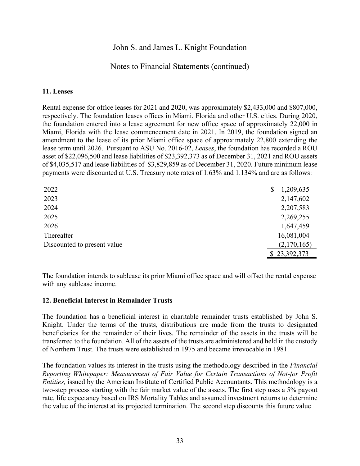### Notes to Financial Statements (continued)

#### **11. Leases**

Rental expense for office leases for 2021 and 2020, was approximately \$2,433,000 and \$807,000, respectively. The foundation leases offices in Miami, Florida and other U.S. cities. During 2020, the foundation entered into a lease agreement for new office space of approximately 22,000 in Miami, Florida with the lease commencement date in 2021. In 2019, the foundation signed an amendment to the lease of its prior Miami office space of approximately 22,800 extending the lease term until 2026. Pursuant to ASU No. 2016-02, *Leases*, the foundation has recorded a ROU asset of \$22,096,500 and lease liabilities of \$23,392,373 as of December 31, 2021 and ROU assets of \$4,035,517 and lease liabilities of \$3,829,859 as of December 31, 2020. Future minimum lease payments were discounted at U.S. Treasury note rates of 1.63% and 1.134% and are as follows:

| 2022                        | 1,209,635<br>S |
|-----------------------------|----------------|
| 2023                        | 2,147,602      |
| 2024                        | 2,207,583      |
| 2025                        | 2,269,255      |
| 2026                        | 1,647,459      |
| Thereafter                  | 16,081,004     |
| Discounted to present value | (2,170,165)    |
|                             | \$23,392,373   |

The foundation intends to sublease its prior Miami office space and will offset the rental expense with any sublease income.

#### **12. Beneficial Interest in Remainder Trusts**

The foundation has a beneficial interest in charitable remainder trusts established by John S. Knight. Under the terms of the trusts, distributions are made from the trusts to designated beneficiaries for the remainder of their lives. The remainder of the assets in the trusts will be transferred to the foundation. All of the assets of the trusts are administered and held in the custody of Northern Trust. The trusts were established in 1975 and became irrevocable in 1981.

The foundation values its interest in the trusts using the methodology described in the *Financial Reporting Whitepaper: Measurement of Fair Value for Certain Transactions of Not-for Profit Entities,* issued by the American Institute of Certified Public Accountants. This methodology is a two-step process starting with the fair market value of the assets. The first step uses a 5% payout rate, life expectancy based on IRS Mortality Tables and assumed investment returns to determine the value of the interest at its projected termination. The second step discounts this future value